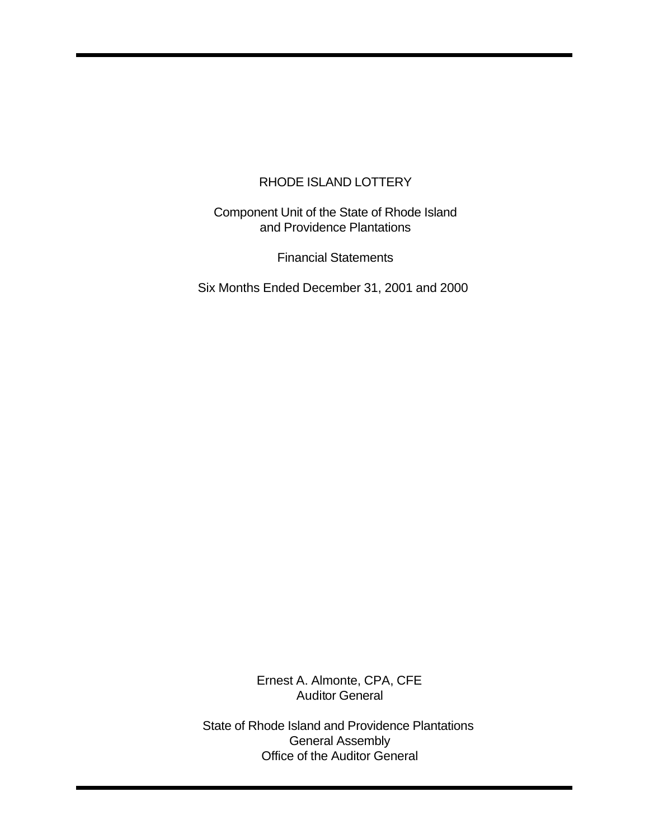Component Unit of the State of Rhode Island and Providence Plantations

Financial Statements

Six Months Ended December 31, 2001 and 2000

Ernest A. Almonte, CPA, CFE Auditor General

State of Rhode Island and Providence Plantations General Assembly Office of the Auditor General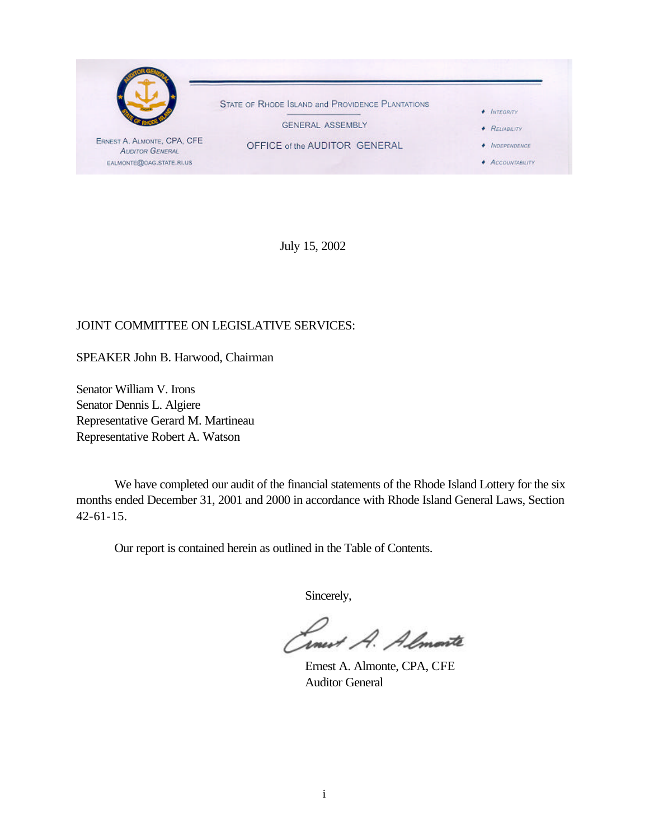

July 15, 2002

# JOINT COMMITTEE ON LEGISLATIVE SERVICES:

SPEAKER John B. Harwood, Chairman

Senator William V. Irons Senator Dennis L. Algiere Representative Gerard M. Martineau Representative Robert A. Watson

We have completed our audit of the financial statements of the Rhode Island Lottery for the six months ended December 31, 2001 and 2000 in accordance with Rhode Island General Laws, Section 42-61-15.

Our report is contained herein as outlined in the Table of Contents.

Sincerely,

Smert A. Almonte

Ernest A. Almonte, CPA, CFE Auditor General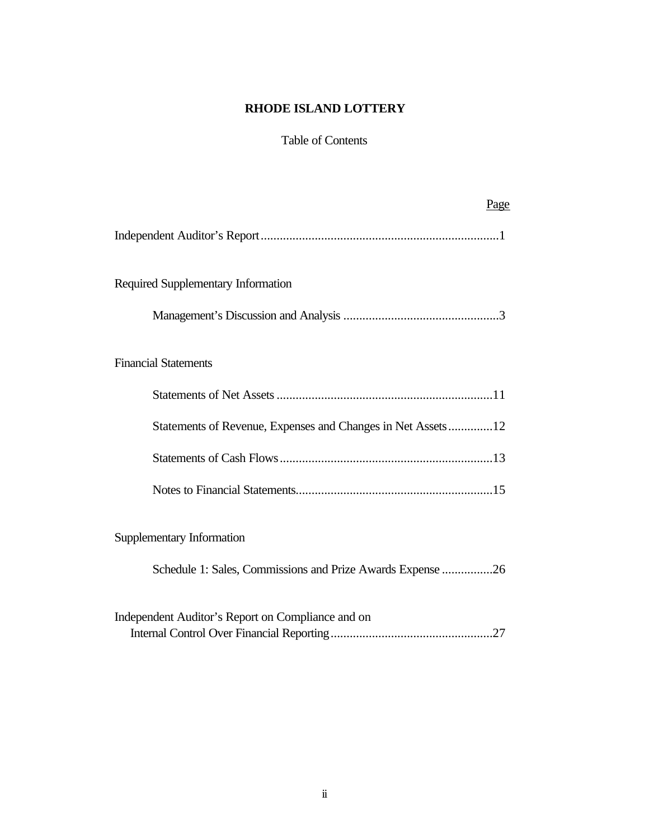# Table of Contents

| Page                                                        |
|-------------------------------------------------------------|
|                                                             |
| Required Supplementary Information                          |
|                                                             |
| <b>Financial Statements</b>                                 |
|                                                             |
| Statements of Revenue, Expenses and Changes in Net Assets12 |
|                                                             |
|                                                             |
| Supplementary Information                                   |
| Schedule 1: Sales, Commissions and Prize Awards Expense 26  |
| Independent Auditor's Report on Compliance and on           |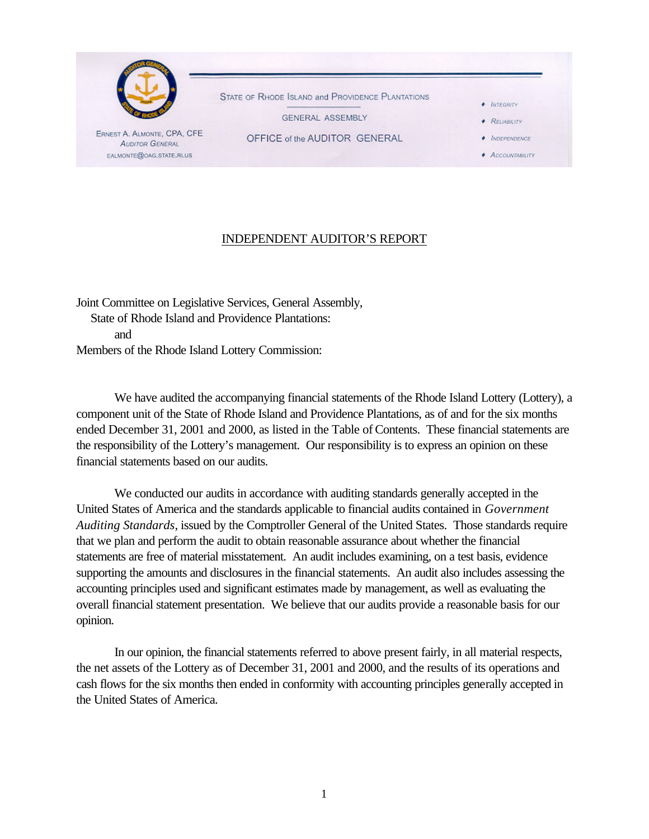

# INDEPENDENT AUDITOR'S REPORT

Joint Committee on Legislative Services, General Assembly, State of Rhode Island and Providence Plantations: and Members of the Rhode Island Lottery Commission:

We have audited the accompanying financial statements of the Rhode Island Lottery (Lottery), a component unit of the State of Rhode Island and Providence Plantations, as of and for the six months ended December 31, 2001 and 2000, as listed in the Table of Contents. These financial statements are the responsibility of the Lottery's management. Our responsibility is to express an opinion on these financial statements based on our audits.

We conducted our audits in accordance with auditing standards generally accepted in the United States of America and the standards applicable to financial audits contained in *Government Auditing Standards*, issued by the Comptroller General of the United States. Those standards require that we plan and perform the audit to obtain reasonable assurance about whether the financial statements are free of material misstatement. An audit includes examining, on a test basis, evidence supporting the amounts and disclosures in the financial statements. An audit also includes assessing the accounting principles used and significant estimates made by management, as well as evaluating the overall financial statement presentation. We believe that our audits provide a reasonable basis for our opinion.

In our opinion, the financial statements referred to above present fairly, in all material respects, the net assets of the Lottery as of December 31, 2001 and 2000, and the results of its operations and cash flows for the six months then ended in conformity with accounting principles generally accepted in the United States of America.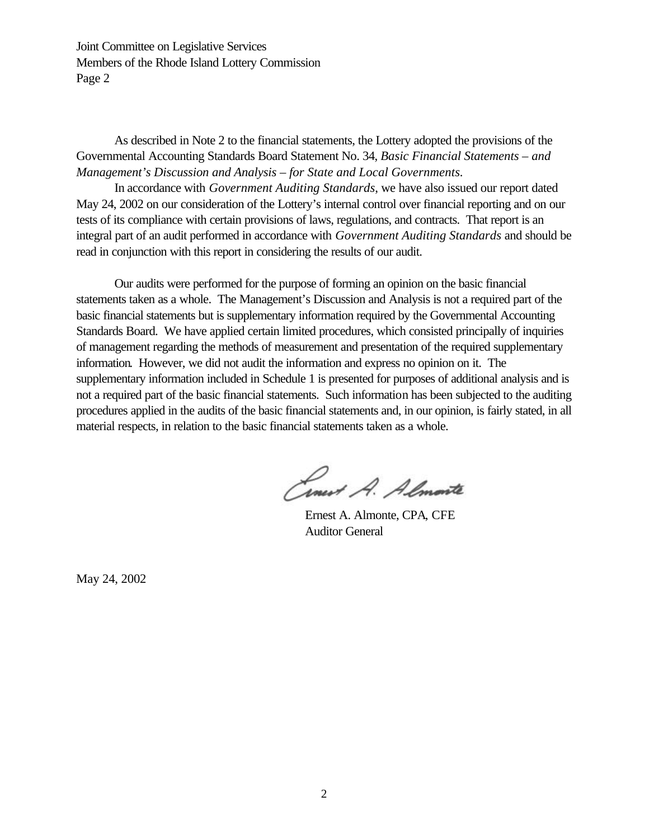Joint Committee on Legislative Services Members of the Rhode Island Lottery Commission Page 2

As described in Note 2 to the financial statements, the Lottery adopted the provisions of the Governmental Accounting Standards Board Statement No. 34, *Basic Financial Statements – and Management's Discussion and Analysis – for State and Local Governments.*

In accordance with *Government Auditing Standards*, we have also issued our report dated May 24, 2002 on our consideration of the Lottery's internal control over financial reporting and on our tests of its compliance with certain provisions of laws, regulations, and contracts. That report is an integral part of an audit performed in accordance with *Government Auditing Standards* and should be read in conjunction with this report in considering the results of our audit.

Our audits were performed for the purpose of forming an opinion on the basic financial statements taken as a whole. The Management's Discussion and Analysis is not a required part of the basic financial statements but is supplementary information required by the Governmental Accounting Standards Board. We have applied certain limited procedures, which consisted principally of inquiries of management regarding the methods of measurement and presentation of the required supplementary information. However, we did not audit the information and express no opinion on it. The supplementary information included in Schedule 1 is presented for purposes of additional analysis and is not a required part of the basic financial statements. Such information has been subjected to the auditing procedures applied in the audits of the basic financial statements and, in our opinion, is fairly stated, in all material respects, in relation to the basic financial statements taken as a whole.

Cinet A. Almonte

Ernest A. Almonte, CPA, CFE Auditor General

May 24, 2002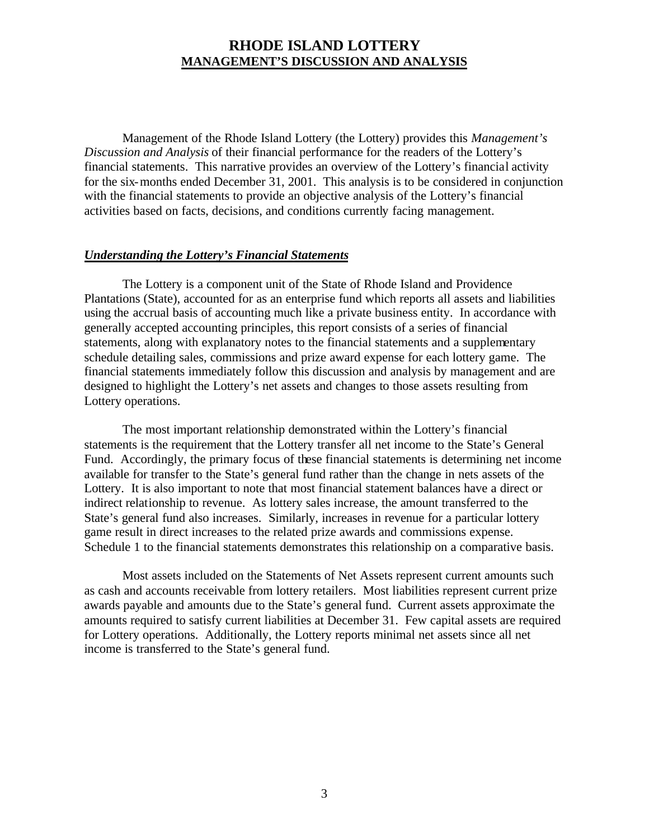Management of the Rhode Island Lottery (the Lottery) provides this *Management's Discussion and Analysis* of their financial performance for the readers of the Lottery's financial statements. This narrative provides an overview of the Lottery's financial activity for the six-months ended December 31, 2001. This analysis is to be considered in conjunction with the financial statements to provide an objective analysis of the Lottery's financial activities based on facts, decisions, and conditions currently facing management.

#### *Understanding the Lottery's Financial Statements*

The Lottery is a component unit of the State of Rhode Island and Providence Plantations (State), accounted for as an enterprise fund which reports all assets and liabilities using the accrual basis of accounting much like a private business entity. In accordance with generally accepted accounting principles, this report consists of a series of financial statements, along with explanatory notes to the financial statements and a supplementary schedule detailing sales, commissions and prize award expense for each lottery game. The financial statements immediately follow this discussion and analysis by management and are designed to highlight the Lottery's net assets and changes to those assets resulting from Lottery operations.

The most important relationship demonstrated within the Lottery's financial statements is the requirement that the Lottery transfer all net income to the State's General Fund. Accordingly, the primary focus of these financial statements is determining net income available for transfer to the State's general fund rather than the change in nets assets of the Lottery. It is also important to note that most financial statement balances have a direct or indirect relationship to revenue. As lottery sales increase, the amount transferred to the State's general fund also increases. Similarly, increases in revenue for a particular lottery game result in direct increases to the related prize awards and commissions expense. Schedule 1 to the financial statements demonstrates this relationship on a comparative basis.

Most assets included on the Statements of Net Assets represent current amounts such as cash and accounts receivable from lottery retailers. Most liabilities represent current prize awards payable and amounts due to the State's general fund. Current assets approximate the amounts required to satisfy current liabilities at December 31. Few capital assets are required for Lottery operations. Additionally, the Lottery reports minimal net assets since all net income is transferred to the State's general fund.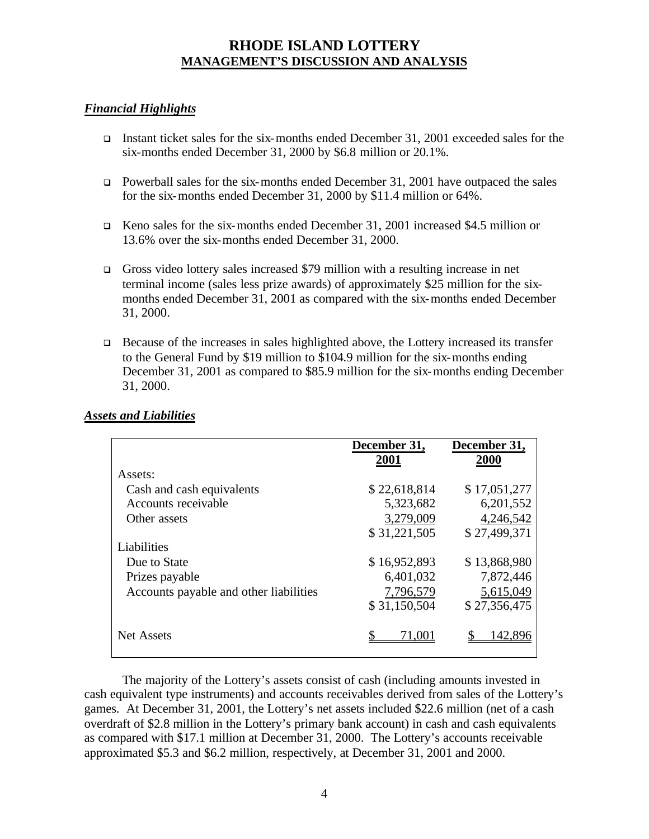# *Financial Highlights*

- Instant ticket sales for the six-months ended December 31, 2001 exceeded sales for the six-months ended December 31, 2000 by \$6.8 million or 20.1%.
- $\Box$  Powerball sales for the six-months ended December 31, 2001 have outpaced the sales for the six-months ended December 31, 2000 by \$11.4 million or 64%.
- <sup>q</sup> Keno sales for the six-months ended December 31, 2001 increased \$4.5 million or 13.6% over the six-months ended December 31, 2000.
- <sup>q</sup> Gross video lottery sales increased \$79 million with a resulting increase in net terminal income (sales less prize awards) of approximately \$25 million for the sixmonths ended December 31, 2001 as compared with the six-months ended December 31, 2000.
- $\Box$  Because of the increases in sales highlighted above, the Lottery increased its transfer to the General Fund by \$19 million to \$104.9 million for the six-months ending December 31, 2001 as compared to \$85.9 million for the six-months ending December 31, 2000.

|                                        | December 31, | December 31, |
|----------------------------------------|--------------|--------------|
|                                        | 2001         | 2000         |
| Assets:                                |              |              |
| Cash and cash equivalents              | \$22,618,814 | \$17,051,277 |
| Accounts receivable                    | 5,323,682    | 6,201,552    |
| Other assets                           | 3,279,009    | 4,246,542    |
|                                        | \$31,221,505 | \$27,499,371 |
| Liabilities                            |              |              |
| Due to State                           | \$16,952,893 | \$13,868,980 |
| Prizes payable                         | 6,401,032    | 7,872,446    |
| Accounts payable and other liabilities | 7,796,579    | 5,615,049    |
|                                        | \$31,150,504 | \$27,356,475 |
| Net Assets                             | 71.00        |              |

# *Assets and Liabilities*

The majority of the Lottery's assets consist of cash (including amounts invested in cash equivalent type instruments) and accounts receivables derived from sales of the Lottery's games. At December 31, 2001, the Lottery's net assets included \$22.6 million (net of a cash overdraft of \$2.8 million in the Lottery's primary bank account) in cash and cash equivalents as compared with \$17.1 million at December 31, 2000. The Lottery's accounts receivable approximated \$5.3 and \$6.2 million, respectively, at December 31, 2001 and 2000.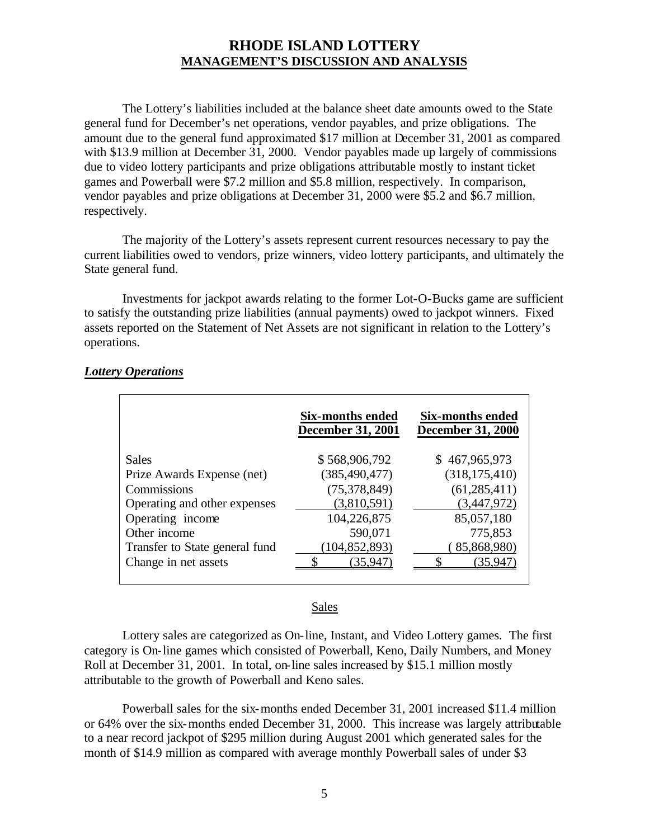The Lottery's liabilities included at the balance sheet date amounts owed to the State general fund for December's net operations, vendor payables, and prize obligations. The amount due to the general fund approximated \$17 million at December 31, 2001 as compared with \$13.9 million at December 31, 2000. Vendor payables made up largely of commissions due to video lottery participants and prize obligations attributable mostly to instant ticket games and Powerball were \$7.2 million and \$5.8 million, respectively. In comparison, vendor payables and prize obligations at December 31, 2000 were \$5.2 and \$6.7 million, respectively.

The majority of the Lottery's assets represent current resources necessary to pay the current liabilities owed to vendors, prize winners, video lottery participants, and ultimately the State general fund.

Investments for jackpot awards relating to the former Lot-O-Bucks game are sufficient to satisfy the outstanding prize liabilities (annual payments) owed to jackpot winners. Fixed assets reported on the Statement of Net Assets are not significant in relation to the Lottery's operations.

|                                | Six-months ended<br><b>December 31, 2001</b> | Six-months ended<br><b>December 31, 2000</b> |
|--------------------------------|----------------------------------------------|----------------------------------------------|
| <b>Sales</b>                   | \$568,906,792                                | \$467,965,973                                |
| Prize Awards Expense (net)     | (385, 490, 477)                              | (318, 175, 410)                              |
| Commissions                    | (75, 378, 849)                               | (61, 285, 411)                               |
| Operating and other expenses   | (3,810,591)                                  | (3,447,972)                                  |
| Operating income               | 104,226,875                                  | 85,057,180                                   |
| Other income                   | 590,071                                      | 775,853                                      |
| Transfer to State general fund | (104, 852, 893)                              | 85,868,980)                                  |
| Change in net assets           | (35,947)                                     | 35.94                                        |
|                                |                                              |                                              |

### *Lottery Operations*

#### Sales

Lottery sales are categorized as On-line, Instant, and Video Lottery games. The first category is On-line games which consisted of Powerball, Keno, Daily Numbers, and Money Roll at December 31, 2001. In total, on-line sales increased by \$15.1 million mostly attributable to the growth of Powerball and Keno sales.

Powerball sales for the six-months ended December 31, 2001 increased \$11.4 million or 64% over the six-months ended December 31, 2000. This increase was largely attributable to a near record jackpot of \$295 million during August 2001 which generated sales for the month of \$14.9 million as compared with average monthly Powerball sales of under \$3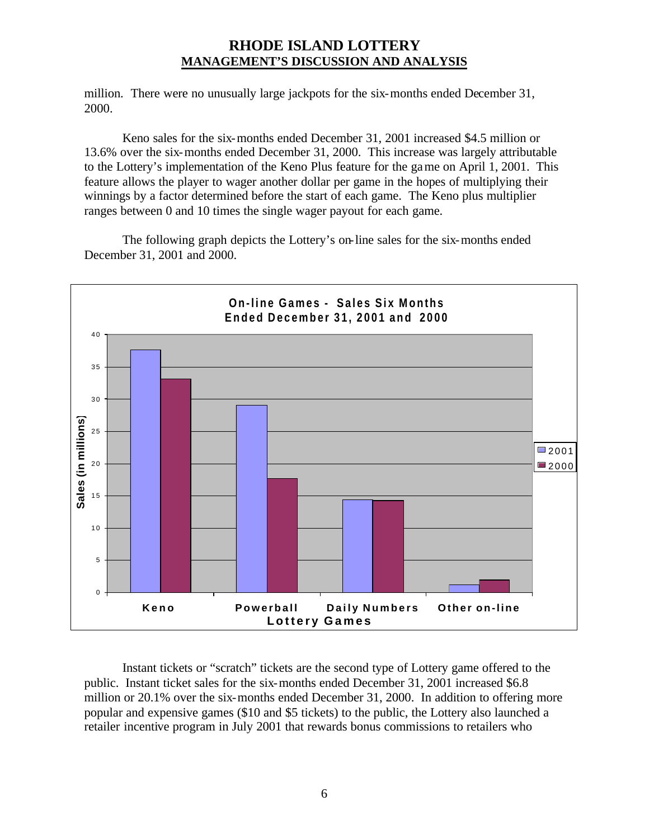million. There were no unusually large jackpots for the six-months ended December 31, 2000.

Keno sales for the six-months ended December 31, 2001 increased \$4.5 million or 13.6% over the six-months ended December 31, 2000. This increase was largely attributable to the Lottery's implementation of the Keno Plus feature for the game on April 1, 2001. This feature allows the player to wager another dollar per game in the hopes of multiplying their winnings by a factor determined before the start of each game. The Keno plus multiplier ranges between 0 and 10 times the single wager payout for each game.

The following graph depicts the Lottery's on-line sales for the six-months ended December 31, 2001 and 2000.



Instant tickets or "scratch" tickets are the second type of Lottery game offered to the public. Instant ticket sales for the six-months ended December 31, 2001 increased \$6.8 million or 20.1% over the six-months ended December 31, 2000. In addition to offering more popular and expensive games (\$10 and \$5 tickets) to the public, the Lottery also launched a retailer incentive program in July 2001 that rewards bonus commissions to retailers who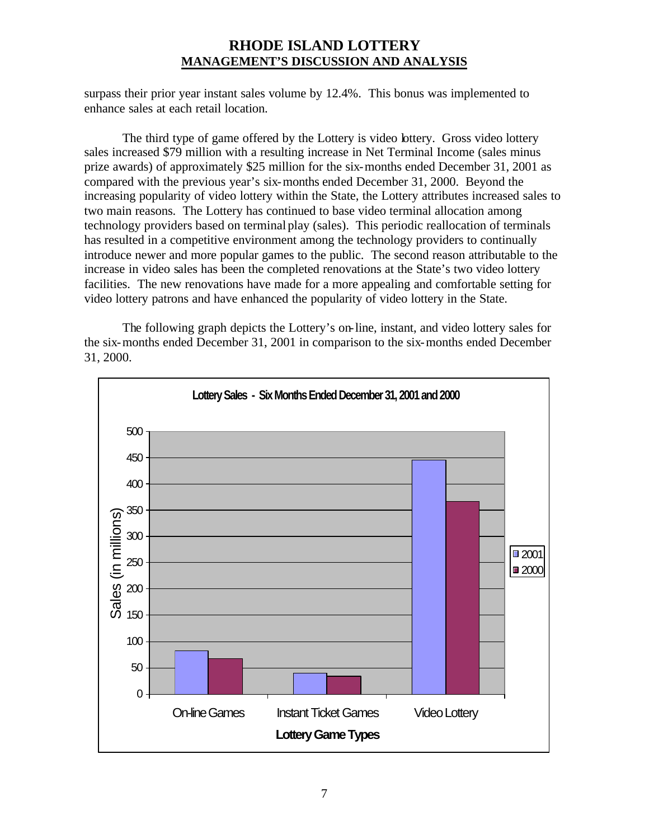surpass their prior year instant sales volume by 12.4%. This bonus was implemented to enhance sales at each retail location.

The third type of game offered by the Lottery is video lottery. Gross video lottery sales increased \$79 million with a resulting increase in Net Terminal Income (sales minus prize awards) of approximately \$25 million for the six-months ended December 31, 2001 as compared with the previous year's six-months ended December 31, 2000. Beyond the increasing popularity of video lottery within the State, the Lottery attributes increased sales to two main reasons. The Lottery has continued to base video terminal allocation among technology providers based on terminal play (sales). This periodic reallocation of terminals has resulted in a competitive environment among the technology providers to continually introduce newer and more popular games to the public. The second reason attributable to the increase in video sales has been the completed renovations at the State's two video lottery facilities. The new renovations have made for a more appealing and comfortable setting for video lottery patrons and have enhanced the popularity of video lottery in the State.

The following graph depicts the Lottery's on-line, instant, and video lottery sales for the six-months ended December 31, 2001 in comparison to the six-months ended December 31, 2000.

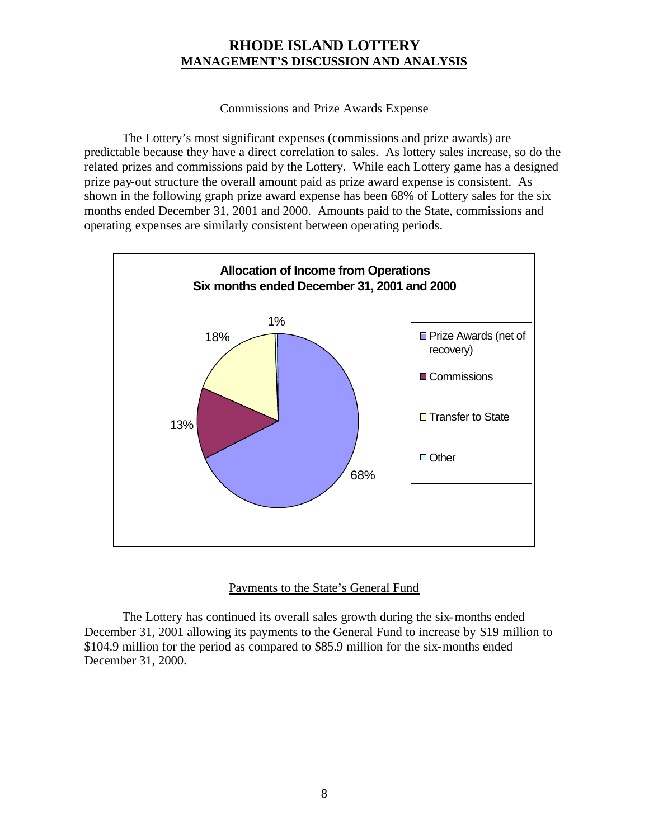# Commissions and Prize Awards Expense

The Lottery's most significant expenses (commissions and prize awards) are predictable because they have a direct correlation to sales. As lottery sales increase, so do the related prizes and commissions paid by the Lottery. While each Lottery game has a designed prize pay-out structure the overall amount paid as prize award expense is consistent. As shown in the following graph prize award expense has been 68% of Lottery sales for the six months ended December 31, 2001 and 2000. Amounts paid to the State, commissions and operating expenses are similarly consistent between operating periods.



# Payments to the State's General Fund

The Lottery has continued its overall sales growth during the six-months ended December 31, 2001 allowing its payments to the General Fund to increase by \$19 million to \$104.9 million for the period as compared to \$85.9 million for the six-months ended December 31, 2000.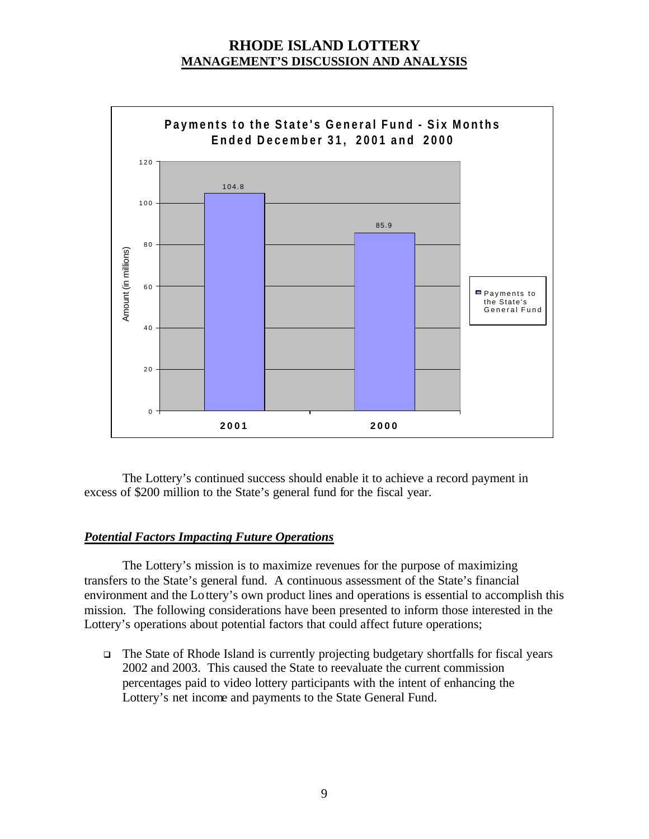

The Lottery's continued success should enable it to achieve a record payment in excess of \$200 million to the State's general fund for the fiscal year.

# *Potential Factors Impacting Future Operations*

The Lottery's mission is to maximize revenues for the purpose of maximizing transfers to the State's general fund. A continuous assessment of the State's financial environment and the Lottery's own product lines and operations is essential to accomplish this mission. The following considerations have been presented to inform those interested in the Lottery's operations about potential factors that could affect future operations;

 $\Box$  The State of Rhode Island is currently projecting budgetary shortfalls for fiscal years 2002 and 2003. This caused the State to reevaluate the current commission percentages paid to video lottery participants with the intent of enhancing the Lottery's net income and payments to the State General Fund.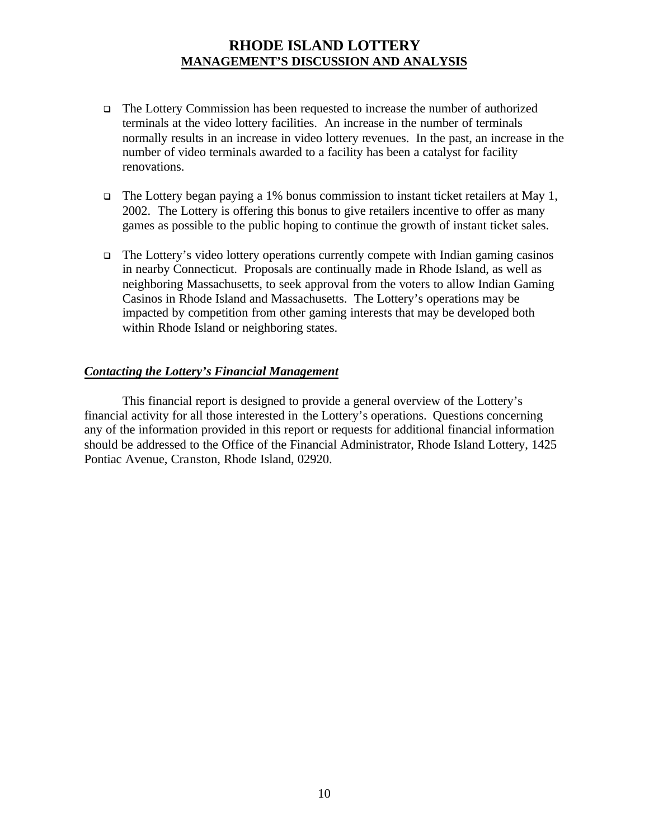- <sup>q</sup> The Lottery Commission has been requested to increase the number of authorized terminals at the video lottery facilities. An increase in the number of terminals normally results in an increase in video lottery revenues. In the past, an increase in the number of video terminals awarded to a facility has been a catalyst for facility renovations.
- $\Box$  The Lottery began paying a 1% bonus commission to instant ticket retailers at May 1, 2002. The Lottery is offering this bonus to give retailers incentive to offer as many games as possible to the public hoping to continue the growth of instant ticket sales.
- $\Box$  The Lottery's video lottery operations currently compete with Indian gaming casinos in nearby Connecticut. Proposals are continually made in Rhode Island, as well as neighboring Massachusetts, to seek approval from the voters to allow Indian Gaming Casinos in Rhode Island and Massachusetts. The Lottery's operations may be impacted by competition from other gaming interests that may be developed both within Rhode Island or neighboring states.

### *Contacting the Lottery's Financial Management*

This financial report is designed to provide a general overview of the Lottery's financial activity for all those interested in the Lottery's operations. Questions concerning any of the information provided in this report or requests for additional financial information should be addressed to the Office of the Financial Administrator, Rhode Island Lottery, 1425 Pontiac Avenue, Cranston, Rhode Island, 02920.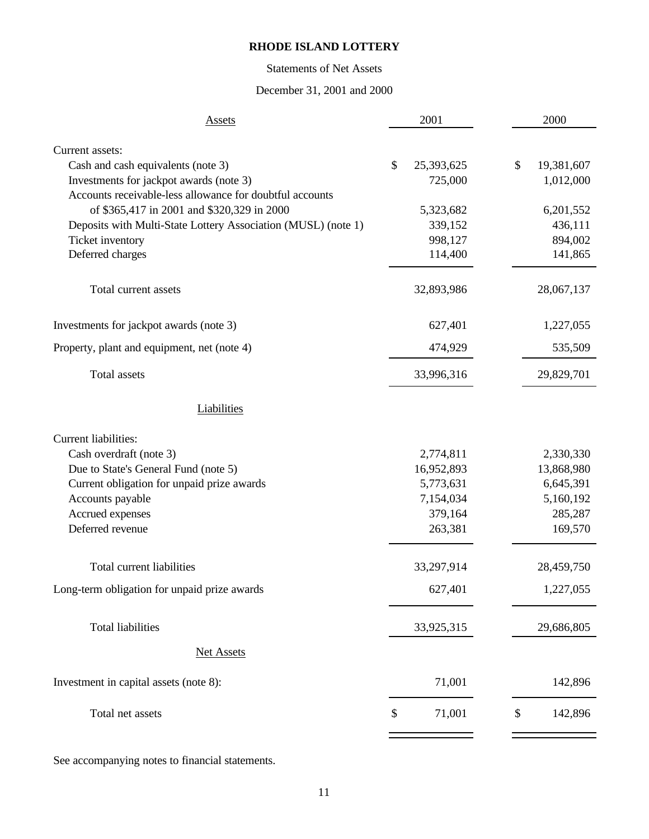# Statements of Net Assets

# December 31, 2001 and 2000

| <b>Assets</b>                                                                                       | 2001                        |    | 2000               |
|-----------------------------------------------------------------------------------------------------|-----------------------------|----|--------------------|
|                                                                                                     |                             |    |                    |
| Current assets:                                                                                     |                             |    |                    |
| Cash and cash equivalents (note 3)                                                                  | \$<br>25,393,625<br>725,000 | \$ | 19,381,607         |
| Investments for jackpot awards (note 3)<br>Accounts receivable-less allowance for doubtful accounts |                             |    | 1,012,000          |
|                                                                                                     |                             |    |                    |
| of \$365,417 in 2001 and \$320,329 in 2000                                                          | 5,323,682                   |    | 6,201,552          |
| Deposits with Multi-State Lottery Association (MUSL) (note 1)<br>Ticket inventory                   | 339,152<br>998,127          |    | 436,111<br>894,002 |
| Deferred charges                                                                                    | 114,400                     |    | 141,865            |
|                                                                                                     |                             |    |                    |
| Total current assets                                                                                | 32,893,986                  |    | 28,067,137         |
| Investments for jackpot awards (note 3)                                                             | 627,401                     |    | 1,227,055          |
| Property, plant and equipment, net (note 4)                                                         | 474,929                     |    | 535,509            |
| <b>Total assets</b>                                                                                 | 33,996,316                  |    | 29,829,701         |
| Liabilities                                                                                         |                             |    |                    |
| <b>Current liabilities:</b>                                                                         |                             |    |                    |
| Cash overdraft (note 3)                                                                             | 2,774,811                   |    | 2,330,330          |
| Due to State's General Fund (note 5)                                                                | 16,952,893                  |    | 13,868,980         |
| Current obligation for unpaid prize awards                                                          | 5,773,631                   |    | 6,645,391          |
| Accounts payable                                                                                    | 7,154,034                   |    | 5,160,192          |
| Accrued expenses                                                                                    | 379,164                     |    | 285,287            |
| Deferred revenue                                                                                    | 263,381                     |    | 169,570            |
| Total current liabilities                                                                           | 33,297,914                  |    | 28,459,750         |
|                                                                                                     |                             |    |                    |
| Long-term obligation for unpaid prize awards                                                        | 627,401                     |    | 1,227,055          |
| <b>Total liabilities</b>                                                                            | 33,925,315                  |    | 29,686,805         |
| <b>Net Assets</b>                                                                                   |                             |    |                    |
|                                                                                                     |                             |    |                    |
| Investment in capital assets (note 8):                                                              | 71,001                      |    | 142,896            |
| Total net assets                                                                                    | \$<br>71,001                | \$ | 142,896            |
|                                                                                                     |                             |    |                    |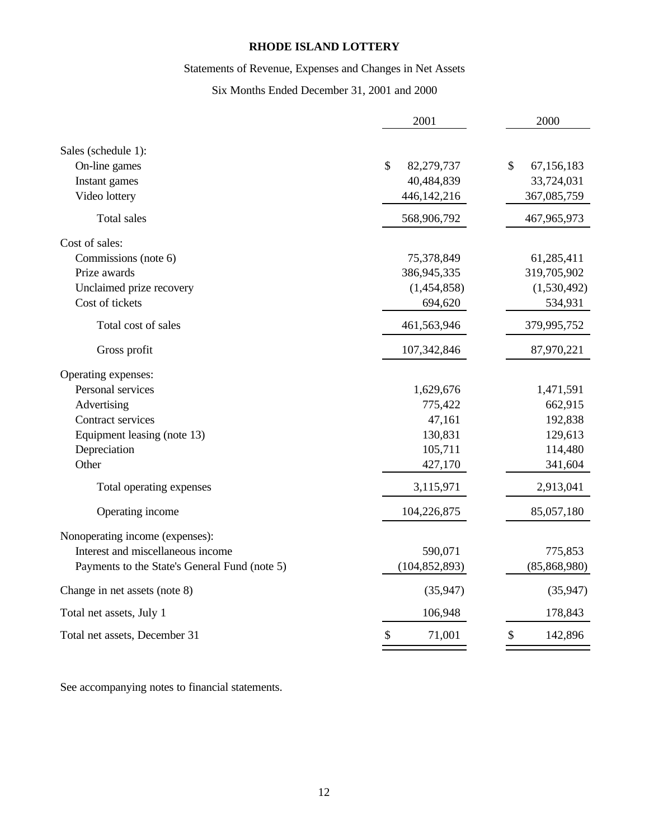# Statements of Revenue, Expenses and Changes in Net Assets

# Six Months Ended December 31, 2001 and 2000

| Sales (schedule 1):<br>\$<br>\$<br>On-line games<br>82,279,737<br>67,156,183<br>40,484,839<br>Instant games<br>33,724,031<br>Video lottery<br>446,142,216<br>367,085,759<br><b>Total sales</b><br>568,906,792<br>467,965,973<br>Cost of sales:<br>Commissions (note 6)<br>75,378,849<br>61,285,411<br>Prize awards<br>319,705,902<br>386,945,335<br>Unclaimed prize recovery<br>(1,454,858)<br>(1,530,492)<br>Cost of tickets<br>694,620<br>534,931<br>Total cost of sales<br>461,563,946<br>379,995,752<br>Gross profit<br>107,342,846<br>87,970,221<br>Operating expenses:<br>Personal services<br>1,629,676<br>1,471,591<br>Advertising<br>775,422<br>662,915<br>Contract services<br>47,161<br>192,838<br>130,831<br>129,613<br>Equipment leasing (note 13)<br>Depreciation<br>105,711<br>114,480<br>Other<br>427,170<br>341,604<br>2,913,041<br>Total operating expenses<br>3,115,971<br>Operating income<br>104,226,875<br>85,057,180<br>Nonoperating income (expenses):<br>Interest and miscellaneous income<br>590,071<br>775,853<br>Payments to the State's General Fund (note 5)<br>(104, 852, 893)<br>(85, 868, 980)<br>Change in net assets (note 8)<br>(35,947)<br>(35, 947)<br>106,948<br>Total net assets, July 1<br>178,843<br>\$<br>\$<br>71,001<br>Total net assets, December 31<br>142,896 | 2001 | 2000 |
|---------------------------------------------------------------------------------------------------------------------------------------------------------------------------------------------------------------------------------------------------------------------------------------------------------------------------------------------------------------------------------------------------------------------------------------------------------------------------------------------------------------------------------------------------------------------------------------------------------------------------------------------------------------------------------------------------------------------------------------------------------------------------------------------------------------------------------------------------------------------------------------------------------------------------------------------------------------------------------------------------------------------------------------------------------------------------------------------------------------------------------------------------------------------------------------------------------------------------------------------------------------------------------------------------------------|------|------|
|                                                                                                                                                                                                                                                                                                                                                                                                                                                                                                                                                                                                                                                                                                                                                                                                                                                                                                                                                                                                                                                                                                                                                                                                                                                                                                               |      |      |
|                                                                                                                                                                                                                                                                                                                                                                                                                                                                                                                                                                                                                                                                                                                                                                                                                                                                                                                                                                                                                                                                                                                                                                                                                                                                                                               |      |      |
|                                                                                                                                                                                                                                                                                                                                                                                                                                                                                                                                                                                                                                                                                                                                                                                                                                                                                                                                                                                                                                                                                                                                                                                                                                                                                                               |      |      |
|                                                                                                                                                                                                                                                                                                                                                                                                                                                                                                                                                                                                                                                                                                                                                                                                                                                                                                                                                                                                                                                                                                                                                                                                                                                                                                               |      |      |
|                                                                                                                                                                                                                                                                                                                                                                                                                                                                                                                                                                                                                                                                                                                                                                                                                                                                                                                                                                                                                                                                                                                                                                                                                                                                                                               |      |      |
|                                                                                                                                                                                                                                                                                                                                                                                                                                                                                                                                                                                                                                                                                                                                                                                                                                                                                                                                                                                                                                                                                                                                                                                                                                                                                                               |      |      |
|                                                                                                                                                                                                                                                                                                                                                                                                                                                                                                                                                                                                                                                                                                                                                                                                                                                                                                                                                                                                                                                                                                                                                                                                                                                                                                               |      |      |
|                                                                                                                                                                                                                                                                                                                                                                                                                                                                                                                                                                                                                                                                                                                                                                                                                                                                                                                                                                                                                                                                                                                                                                                                                                                                                                               |      |      |
|                                                                                                                                                                                                                                                                                                                                                                                                                                                                                                                                                                                                                                                                                                                                                                                                                                                                                                                                                                                                                                                                                                                                                                                                                                                                                                               |      |      |
|                                                                                                                                                                                                                                                                                                                                                                                                                                                                                                                                                                                                                                                                                                                                                                                                                                                                                                                                                                                                                                                                                                                                                                                                                                                                                                               |      |      |
|                                                                                                                                                                                                                                                                                                                                                                                                                                                                                                                                                                                                                                                                                                                                                                                                                                                                                                                                                                                                                                                                                                                                                                                                                                                                                                               |      |      |
|                                                                                                                                                                                                                                                                                                                                                                                                                                                                                                                                                                                                                                                                                                                                                                                                                                                                                                                                                                                                                                                                                                                                                                                                                                                                                                               |      |      |
|                                                                                                                                                                                                                                                                                                                                                                                                                                                                                                                                                                                                                                                                                                                                                                                                                                                                                                                                                                                                                                                                                                                                                                                                                                                                                                               |      |      |
|                                                                                                                                                                                                                                                                                                                                                                                                                                                                                                                                                                                                                                                                                                                                                                                                                                                                                                                                                                                                                                                                                                                                                                                                                                                                                                               |      |      |
|                                                                                                                                                                                                                                                                                                                                                                                                                                                                                                                                                                                                                                                                                                                                                                                                                                                                                                                                                                                                                                                                                                                                                                                                                                                                                                               |      |      |
|                                                                                                                                                                                                                                                                                                                                                                                                                                                                                                                                                                                                                                                                                                                                                                                                                                                                                                                                                                                                                                                                                                                                                                                                                                                                                                               |      |      |
|                                                                                                                                                                                                                                                                                                                                                                                                                                                                                                                                                                                                                                                                                                                                                                                                                                                                                                                                                                                                                                                                                                                                                                                                                                                                                                               |      |      |
|                                                                                                                                                                                                                                                                                                                                                                                                                                                                                                                                                                                                                                                                                                                                                                                                                                                                                                                                                                                                                                                                                                                                                                                                                                                                                                               |      |      |
|                                                                                                                                                                                                                                                                                                                                                                                                                                                                                                                                                                                                                                                                                                                                                                                                                                                                                                                                                                                                                                                                                                                                                                                                                                                                                                               |      |      |
|                                                                                                                                                                                                                                                                                                                                                                                                                                                                                                                                                                                                                                                                                                                                                                                                                                                                                                                                                                                                                                                                                                                                                                                                                                                                                                               |      |      |
|                                                                                                                                                                                                                                                                                                                                                                                                                                                                                                                                                                                                                                                                                                                                                                                                                                                                                                                                                                                                                                                                                                                                                                                                                                                                                                               |      |      |
|                                                                                                                                                                                                                                                                                                                                                                                                                                                                                                                                                                                                                                                                                                                                                                                                                                                                                                                                                                                                                                                                                                                                                                                                                                                                                                               |      |      |
|                                                                                                                                                                                                                                                                                                                                                                                                                                                                                                                                                                                                                                                                                                                                                                                                                                                                                                                                                                                                                                                                                                                                                                                                                                                                                                               |      |      |
|                                                                                                                                                                                                                                                                                                                                                                                                                                                                                                                                                                                                                                                                                                                                                                                                                                                                                                                                                                                                                                                                                                                                                                                                                                                                                                               |      |      |
|                                                                                                                                                                                                                                                                                                                                                                                                                                                                                                                                                                                                                                                                                                                                                                                                                                                                                                                                                                                                                                                                                                                                                                                                                                                                                                               |      |      |
|                                                                                                                                                                                                                                                                                                                                                                                                                                                                                                                                                                                                                                                                                                                                                                                                                                                                                                                                                                                                                                                                                                                                                                                                                                                                                                               |      |      |
|                                                                                                                                                                                                                                                                                                                                                                                                                                                                                                                                                                                                                                                                                                                                                                                                                                                                                                                                                                                                                                                                                                                                                                                                                                                                                                               |      |      |
|                                                                                                                                                                                                                                                                                                                                                                                                                                                                                                                                                                                                                                                                                                                                                                                                                                                                                                                                                                                                                                                                                                                                                                                                                                                                                                               |      |      |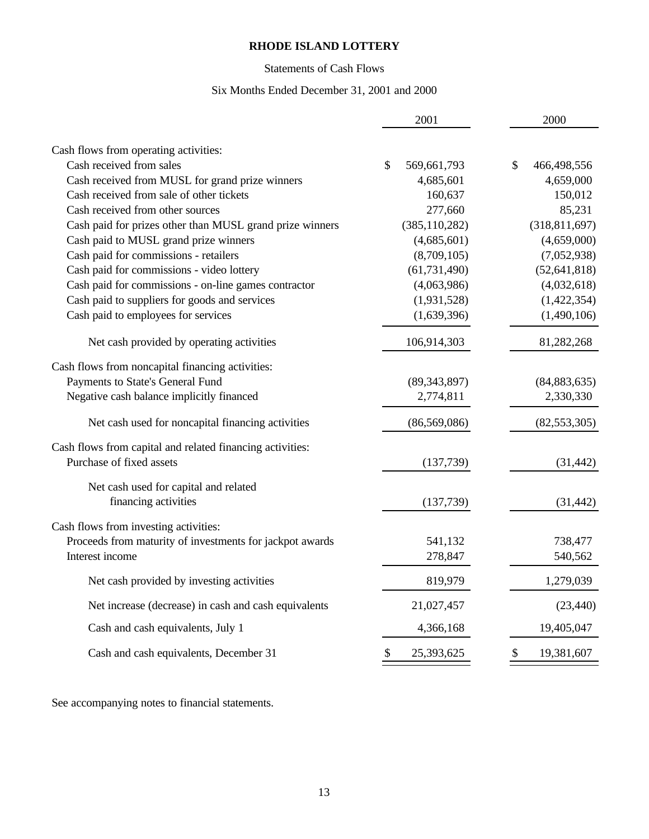# Statements of Cash Flows

# Six Months Ended December 31, 2001 and 2000

|                                                           | 2001                                    | 2000              |
|-----------------------------------------------------------|-----------------------------------------|-------------------|
|                                                           |                                         |                   |
| Cash flows from operating activities:                     |                                         |                   |
| Cash received from sales                                  | \$<br>569,661,793                       | \$<br>466,498,556 |
| Cash received from MUSL for grand prize winners           | 4,685,601                               | 4,659,000         |
| Cash received from sale of other tickets                  | 160,637                                 | 150,012           |
| Cash received from other sources                          | 277,660                                 | 85,231            |
| Cash paid for prizes other than MUSL grand prize winners  | (385, 110, 282)                         | (318, 811, 697)   |
| Cash paid to MUSL grand prize winners                     | (4,685,601)                             | (4,659,000)       |
| Cash paid for commissions - retailers                     | (8,709,105)                             | (7,052,938)       |
| Cash paid for commissions - video lottery                 | (61, 731, 490)                          | (52, 641, 818)    |
| Cash paid for commissions - on-line games contractor      | (4,063,986)                             | (4,032,618)       |
| Cash paid to suppliers for goods and services             | (1,931,528)                             | (1,422,354)       |
| Cash paid to employees for services                       | (1,639,396)                             | (1,490,106)       |
| Net cash provided by operating activities                 | 106,914,303                             | 81,282,268        |
| Cash flows from noncapital financing activities:          |                                         |                   |
| Payments to State's General Fund                          | (89, 343, 897)                          | (84, 883, 635)    |
| Negative cash balance implicitly financed                 | 2,774,811                               | 2,330,330         |
| Net cash used for noncapital financing activities         | (86, 569, 086)                          | (82, 553, 305)    |
| Cash flows from capital and related financing activities: |                                         |                   |
| Purchase of fixed assets                                  | (137,739)                               | (31, 442)         |
| Net cash used for capital and related                     |                                         |                   |
| financing activities                                      | (137,739)                               | (31, 442)         |
| Cash flows from investing activities:                     |                                         |                   |
| Proceeds from maturity of investments for jackpot awards  | 541,132                                 | 738,477           |
| Interest income                                           | 278,847                                 | 540,562           |
| Net cash provided by investing activities                 | 819,979                                 | 1,279,039         |
| Net increase (decrease) in cash and cash equivalents      | 21,027,457                              | (23, 440)         |
| Cash and cash equivalents, July 1                         | 4,366,168                               | 19,405,047        |
| Cash and cash equivalents, December 31                    | $\boldsymbol{\mathsf{S}}$<br>25,393,625 | \$<br>19,381,607  |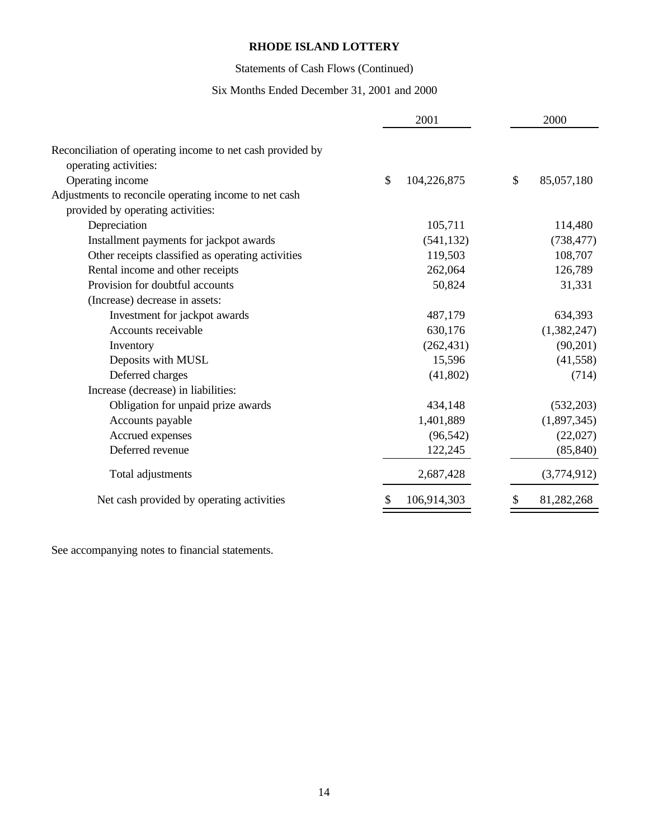# Statements of Cash Flows (Continued)

# Six Months Ended December 31, 2001 and 2000

|                                                            | 2001              |               | 2000        |
|------------------------------------------------------------|-------------------|---------------|-------------|
| Reconciliation of operating income to net cash provided by |                   |               |             |
| operating activities:                                      |                   | $\mathcal{S}$ |             |
| Operating income                                           | \$<br>104,226,875 |               | 85,057,180  |
| Adjustments to reconcile operating income to net cash      |                   |               |             |
| provided by operating activities:                          |                   |               |             |
| Depreciation                                               | 105,711           |               | 114,480     |
| Installment payments for jackpot awards                    | (541, 132)        |               | (738, 477)  |
| Other receipts classified as operating activities          | 119,503           |               | 108,707     |
| Rental income and other receipts                           | 262,064           |               | 126,789     |
| Provision for doubtful accounts                            | 50,824            |               | 31,331      |
| (Increase) decrease in assets:                             |                   |               |             |
| Investment for jackpot awards                              | 487,179           |               | 634,393     |
| Accounts receivable                                        | 630,176           |               | (1,382,247) |
| Inventory                                                  | (262, 431)        |               | (90,201)    |
| Deposits with MUSL                                         | 15,596            |               | (41, 558)   |
| Deferred charges                                           | (41,802)          |               | (714)       |
| Increase (decrease) in liabilities:                        |                   |               |             |
| Obligation for unpaid prize awards                         | 434,148           |               | (532, 203)  |
| Accounts payable                                           | 1,401,889         |               | (1,897,345) |
| Accrued expenses                                           | (96, 542)         |               | (22,027)    |
| Deferred revenue                                           | 122,245           |               | (85, 840)   |
| Total adjustments                                          | 2,687,428         |               | (3,774,912) |
| Net cash provided by operating activities                  | 106,914,303       |               | 81,282,268  |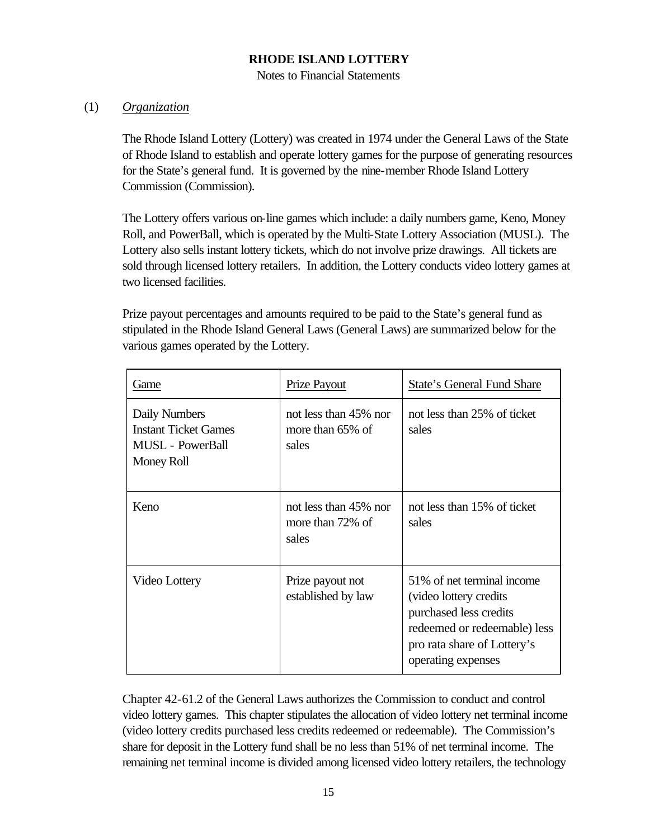Notes to Financial Statements

# (1) *Organization*

The Rhode Island Lottery (Lottery) was created in 1974 under the General Laws of the State of Rhode Island to establish and operate lottery games for the purpose of generating resources for the State's general fund. It is governed by the nine-member Rhode Island Lottery Commission (Commission).

The Lottery offers various on-line games which include: a daily numbers game, Keno, Money Roll, and PowerBall, which is operated by the Multi-State Lottery Association (MUSL). The Lottery also sells instant lottery tickets, which do not involve prize drawings. All tickets are sold through licensed lottery retailers. In addition, the Lottery conducts video lottery games at two licensed facilities.

Prize payout percentages and amounts required to be paid to the State's general fund as stipulated in the Rhode Island General Laws (General Laws) are summarized below for the various games operated by the Lottery.

| Game                                                                           | Prize Payout                                       | <b>State's General Fund Share</b>                                                                                                                                   |
|--------------------------------------------------------------------------------|----------------------------------------------------|---------------------------------------------------------------------------------------------------------------------------------------------------------------------|
| Daily Numbers<br><b>Instant Ticket Games</b><br>MUSL - PowerBall<br>Money Roll | not less than 45% nor<br>more than 65% of<br>sales | not less than 25% of ticket<br>sales                                                                                                                                |
| Keno                                                                           | not less than 45% nor<br>more than 72% of<br>sales | not less than 15% of ticket<br>sales                                                                                                                                |
| Video Lottery                                                                  | Prize payout not<br>established by law             | 51% of net terminal income<br>(video lottery credits<br>purchased less credits<br>redeemed or redeemable) less<br>pro rata share of Lottery's<br>operating expenses |

Chapter 42-61.2 of the General Laws authorizes the Commission to conduct and control video lottery games. This chapter stipulates the allocation of video lottery net terminal income (video lottery credits purchased less credits redeemed or redeemable). The Commission's share for deposit in the Lottery fund shall be no less than 51% of net terminal income. The remaining net terminal income is divided among licensed video lottery retailers, the technology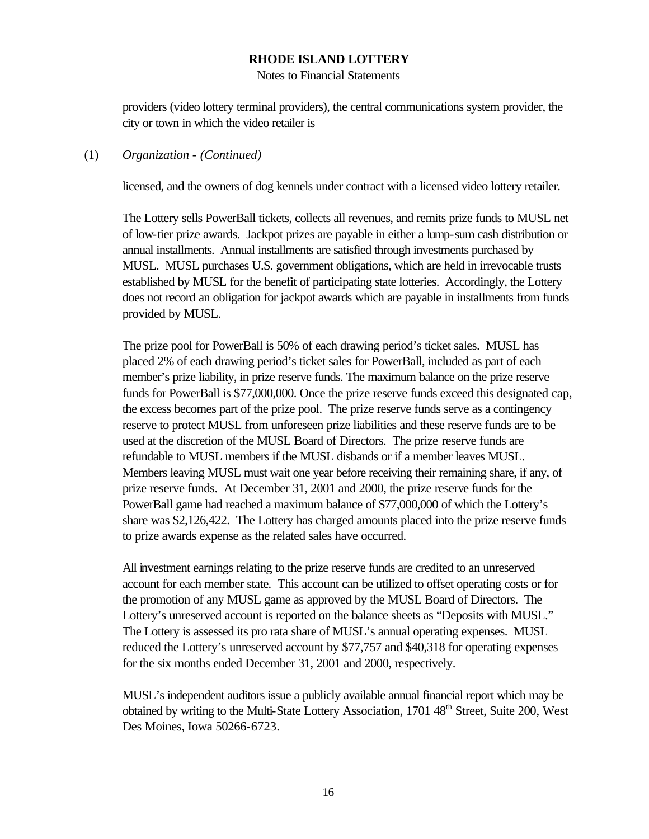Notes to Financial Statements

providers (video lottery terminal providers), the central communications system provider, the city or town in which the video retailer is

#### (1) *Organization* - *(Continued)*

licensed, and the owners of dog kennels under contract with a licensed video lottery retailer.

The Lottery sells PowerBall tickets, collects all revenues, and remits prize funds to MUSL net of low-tier prize awards. Jackpot prizes are payable in either a lump-sum cash distribution or annual installments. Annual installments are satisfied through investments purchased by MUSL. MUSL purchases U.S. government obligations, which are held in irrevocable trusts established by MUSL for the benefit of participating state lotteries. Accordingly, the Lottery does not record an obligation for jackpot awards which are payable in installments from funds provided by MUSL.

The prize pool for PowerBall is 50% of each drawing period's ticket sales. MUSL has placed 2% of each drawing period's ticket sales for PowerBall, included as part of each member's prize liability, in prize reserve funds. The maximum balance on the prize reserve funds for PowerBall is \$77,000,000. Once the prize reserve funds exceed this designated cap, the excess becomes part of the prize pool. The prize reserve funds serve as a contingency reserve to protect MUSL from unforeseen prize liabilities and these reserve funds are to be used at the discretion of the MUSL Board of Directors. The prize reserve funds are refundable to MUSL members if the MUSL disbands or if a member leaves MUSL. Members leaving MUSL must wait one year before receiving their remaining share, if any, of prize reserve funds. At December 31, 2001 and 2000, the prize reserve funds for the PowerBall game had reached a maximum balance of \$77,000,000 of which the Lottery's share was \$2,126,422. The Lottery has charged amounts placed into the prize reserve funds to prize awards expense as the related sales have occurred.

All investment earnings relating to the prize reserve funds are credited to an unreserved account for each member state. This account can be utilized to offset operating costs or for the promotion of any MUSL game as approved by the MUSL Board of Directors. The Lottery's unreserved account is reported on the balance sheets as "Deposits with MUSL." The Lottery is assessed its pro rata share of MUSL's annual operating expenses. MUSL reduced the Lottery's unreserved account by \$77,757 and \$40,318 for operating expenses for the six months ended December 31, 2001 and 2000, respectively.

MUSL's independent auditors issue a publicly available annual financial report which may be obtained by writing to the Multi-State Lottery Association, 1701 48<sup>th</sup> Street, Suite 200, West Des Moines, Iowa 50266-6723.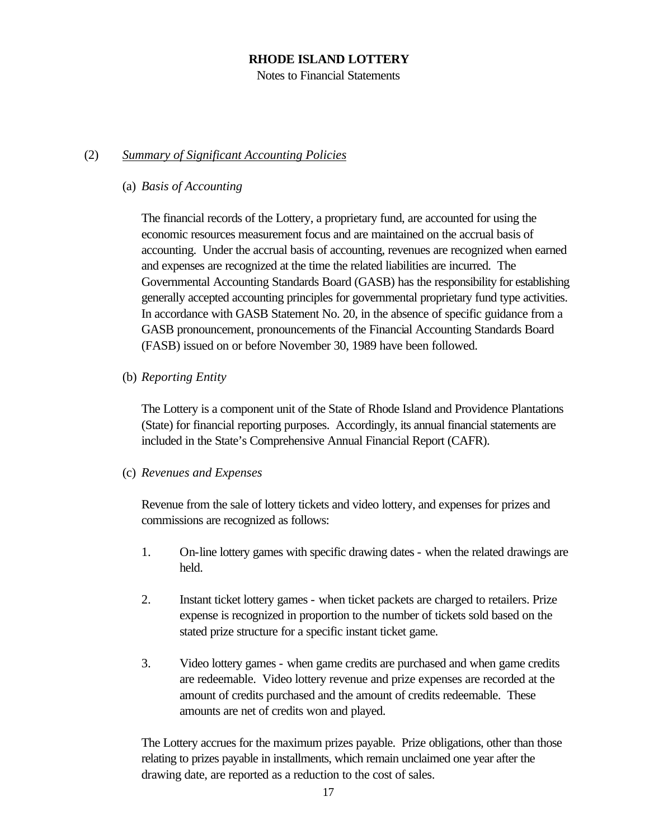Notes to Financial Statements

# (2) *Summary of Significant Accounting Policies*

# (a) *Basis of Accounting*

The financial records of the Lottery, a proprietary fund, are accounted for using the economic resources measurement focus and are maintained on the accrual basis of accounting. Under the accrual basis of accounting, revenues are recognized when earned and expenses are recognized at the time the related liabilities are incurred. The Governmental Accounting Standards Board (GASB) has the responsibility for establishing generally accepted accounting principles for governmental proprietary fund type activities. In accordance with GASB Statement No. 20, in the absence of specific guidance from a GASB pronouncement, pronouncements of the Financial Accounting Standards Board (FASB) issued on or before November 30, 1989 have been followed.

(b) *Reporting Entity*

The Lottery is a component unit of the State of Rhode Island and Providence Plantations (State) for financial reporting purposes. Accordingly, its annual financial statements are included in the State's Comprehensive Annual Financial Report (CAFR).

# (c) *Revenues and Expenses*

Revenue from the sale of lottery tickets and video lottery, and expenses for prizes and commissions are recognized as follows:

- 1. On-line lottery games with specific drawing dates when the related drawings are held.
- 2. Instant ticket lottery games when ticket packets are charged to retailers. Prize expense is recognized in proportion to the number of tickets sold based on the stated prize structure for a specific instant ticket game.
- 3. Video lottery games when game credits are purchased and when game credits are redeemable. Video lottery revenue and prize expenses are recorded at the amount of credits purchased and the amount of credits redeemable. These amounts are net of credits won and played.

The Lottery accrues for the maximum prizes payable. Prize obligations, other than those relating to prizes payable in installments, which remain unclaimed one year after the drawing date, are reported as a reduction to the cost of sales.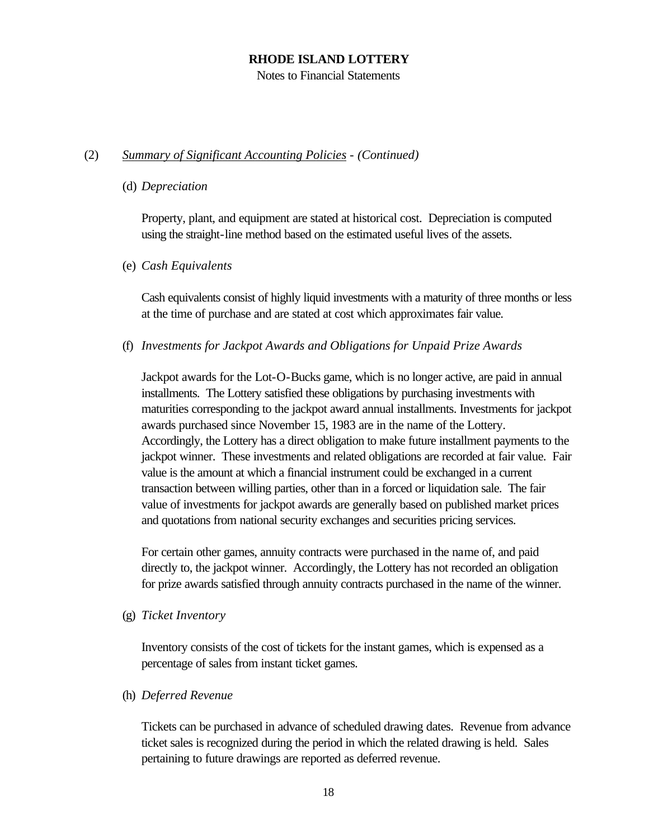Notes to Financial Statements

# (2) *Summary of Significant Accounting Policies* - *(Continued)*

### (d) *Depreciation*

Property, plant, and equipment are stated at historical cost. Depreciation is computed using the straight-line method based on the estimated useful lives of the assets.

# (e) *Cash Equivalents*

Cash equivalents consist of highly liquid investments with a maturity of three months or less at the time of purchase and are stated at cost which approximates fair value.

(f) *Investments for Jackpot Awards and Obligations for Unpaid Prize Awards*

Jackpot awards for the Lot-O-Bucks game, which is no longer active, are paid in annual installments. The Lottery satisfied these obligations by purchasing investments with maturities corresponding to the jackpot award annual installments. Investments for jackpot awards purchased since November 15, 1983 are in the name of the Lottery. Accordingly, the Lottery has a direct obligation to make future installment payments to the jackpot winner. These investments and related obligations are recorded at fair value. Fair value is the amount at which a financial instrument could be exchanged in a current transaction between willing parties, other than in a forced or liquidation sale. The fair value of investments for jackpot awards are generally based on published market prices and quotations from national security exchanges and securities pricing services.

For certain other games, annuity contracts were purchased in the name of, and paid directly to, the jackpot winner. Accordingly, the Lottery has not recorded an obligation for prize awards satisfied through annuity contracts purchased in the name of the winner.

(g) *Ticket Inventory*

Inventory consists of the cost of tickets for the instant games, which is expensed as a percentage of sales from instant ticket games.

# (h) *Deferred Revenue*

Tickets can be purchased in advance of scheduled drawing dates. Revenue from advance ticket sales is recognized during the period in which the related drawing is held. Sales pertaining to future drawings are reported as deferred revenue.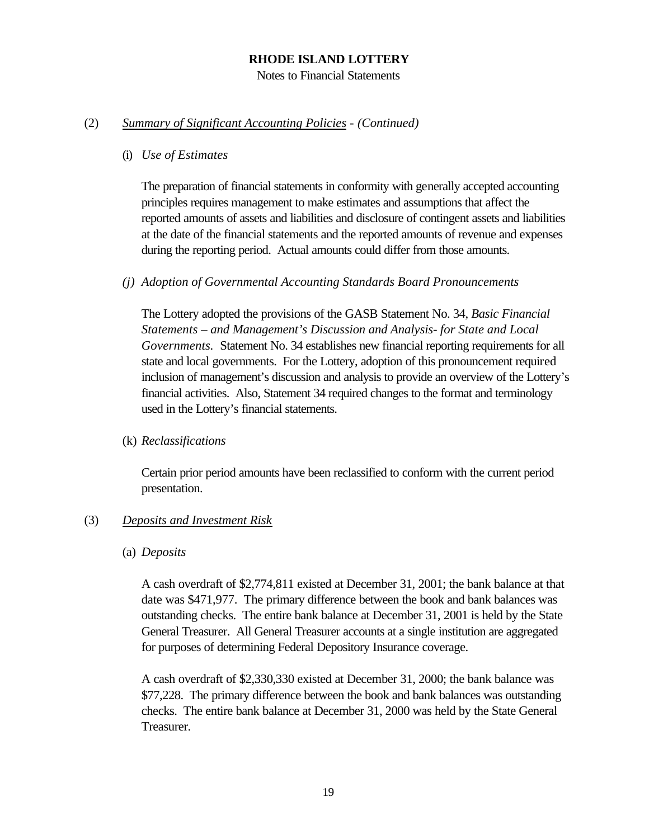Notes to Financial Statements

#### (2) *Summary of Significant Accounting Policies* - *(Continued)*

#### (i) *Use of Estimates*

The preparation of financial statements in conformity with generally accepted accounting principles requires management to make estimates and assumptions that affect the reported amounts of assets and liabilities and disclosure of contingent assets and liabilities at the date of the financial statements and the reported amounts of revenue and expenses during the reporting period. Actual amounts could differ from those amounts.

### *(j) Adoption of Governmental Accounting Standards Board Pronouncements*

The Lottery adopted the provisions of the GASB Statement No. 34, *Basic Financial Statements – and Management's Discussion and Analysis- for State and Local Governments.* Statement No. 34 establishes new financial reporting requirements for all state and local governments. For the Lottery, adoption of this pronouncement required inclusion of management's discussion and analysis to provide an overview of the Lottery's financial activities. Also, Statement 34 required changes to the format and terminology used in the Lottery's financial statements.

#### (k) *Reclassifications*

Certain prior period amounts have been reclassified to conform with the current period presentation.

# (3) *Deposits and Investment Risk*

#### (a) *Deposits*

A cash overdraft of \$2,774,811 existed at December 31, 2001; the bank balance at that date was \$471,977. The primary difference between the book and bank balances was outstanding checks. The entire bank balance at December 31, 2001 is held by the State General Treasurer. All General Treasurer accounts at a single institution are aggregated for purposes of determining Federal Depository Insurance coverage.

A cash overdraft of \$2,330,330 existed at December 31, 2000; the bank balance was \$77,228. The primary difference between the book and bank balances was outstanding checks. The entire bank balance at December 31, 2000 was held by the State General Treasurer.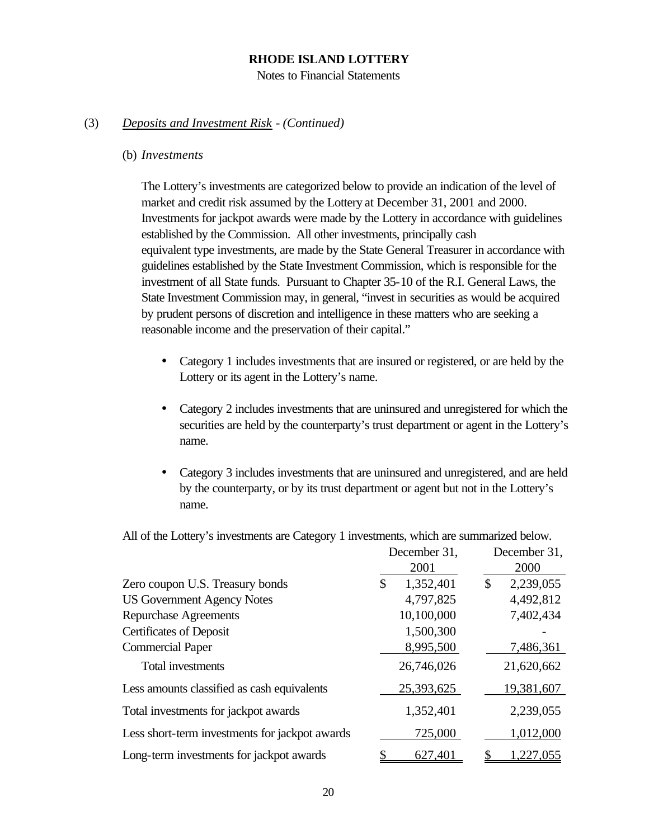Notes to Financial Statements

#### (3) *Deposits and Investment Risk - (Continued)*

#### (b) *Investments*

The Lottery's investments are categorized below to provide an indication of the level of market and credit risk assumed by the Lottery at December 31, 2001 and 2000. Investments for jackpot awards were made by the Lottery in accordance with guidelines established by the Commission. All other investments, principally cash equivalent type investments, are made by the State General Treasurer in accordance with guidelines established by the State Investment Commission, which is responsible for the investment of all State funds. Pursuant to Chapter 35-10 of the R.I. General Laws, the State Investment Commission may, in general, "invest in securities as would be acquired by prudent persons of discretion and intelligence in these matters who are seeking a reasonable income and the preservation of their capital."

- Category 1 includes investments that are insured or registered, or are held by the Lottery or its agent in the Lottery's name.
- Category 2 includes investments that are uninsured and unregistered for which the securities are held by the counterparty's trust department or agent in the Lottery's name.
- Category 3 includes investments that are uninsured and unregistered, and are held by the counterparty, or by its trust department or agent but not in the Lottery's name.

|                                                | December 31,    | December 31,    |
|------------------------------------------------|-----------------|-----------------|
|                                                | 2001            | 2000            |
| Zero coupon U.S. Treasury bonds                | \$<br>1,352,401 | 2,239,055<br>\$ |
| <b>US Government Agency Notes</b>              | 4,797,825       | 4,492,812       |
| <b>Repurchase Agreements</b>                   | 10,100,000      | 7,402,434       |
| <b>Certificates of Deposit</b>                 | 1,500,300       |                 |
| <b>Commercial Paper</b>                        | 8,995,500       | 7,486,361       |
| Total investments                              | 26,746,026      | 21,620,662      |
| Less amounts classified as cash equivalents    | 25,393,625      | 19,381,607      |
| Total investments for jackpot awards           | 1,352,401       | 2,239,055       |
| Less short-term investments for jackpot awards | 725,000         | 1,012,000       |
| Long-term investments for jackpot awards       | 627,401         | 1,227,055       |

All of the Lottery's investments are Category 1 investments, which are summarized below.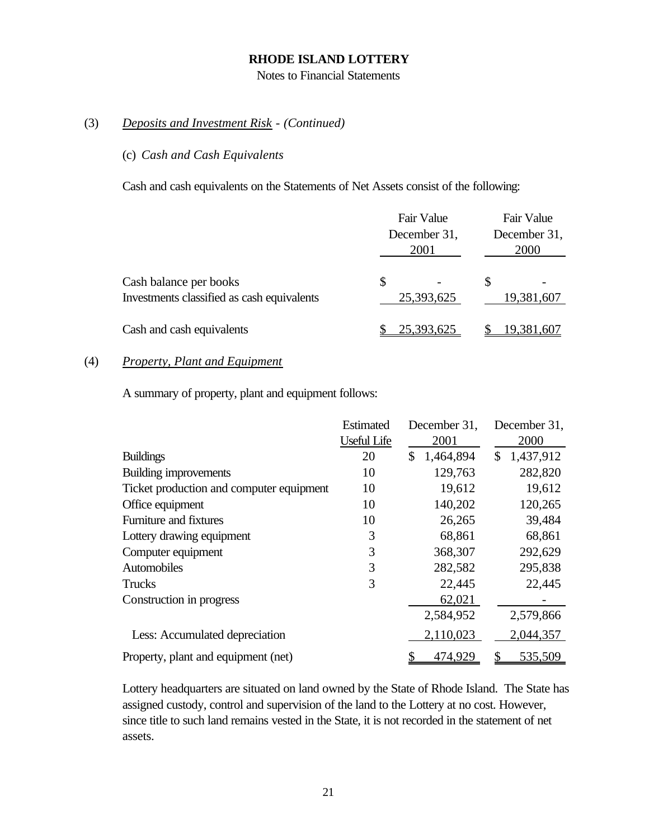Notes to Financial Statements

# (3) *Deposits and Investment Risk* - *(Continued)*

# (c) *Cash and Cash Equivalents*

Cash and cash equivalents on the Statements of Net Assets consist of the following:

|                                                                      | Fair Value<br>December 31,<br>2001 | Fair Value<br>December 31,<br>2000 |  |
|----------------------------------------------------------------------|------------------------------------|------------------------------------|--|
| Cash balance per books<br>Investments classified as cash equivalents | \$<br>25,393,625                   | 19,381,607                         |  |
| Cash and cash equivalents                                            | 25,393,625                         | 19,381,607                         |  |

# (4) *Property, Plant and Equipment*

A summary of property, plant and equipment follows:

|                                          | Estimated          | December 31,    | December 31,    |
|------------------------------------------|--------------------|-----------------|-----------------|
|                                          | <b>Useful Life</b> | 2001            | 2000            |
| <b>Buildings</b>                         | 20                 | \$<br>1,464,894 | 1,437,912<br>\$ |
| Building improvements                    | 10                 | 129,763         | 282,820         |
| Ticket production and computer equipment | 10                 | 19,612          | 19,612          |
| Office equipment                         | 10                 | 140,202         | 120,265         |
| Furniture and fixtures                   | 10                 | 26,265          | 39,484          |
| Lottery drawing equipment                | 3                  | 68,861          | 68,861          |
| Computer equipment                       | 3                  | 368,307         | 292,629         |
| Automobiles                              | 3                  | 282,582         | 295,838         |
| Trucks                                   | 3                  | 22,445          | 22,445          |
| Construction in progress                 |                    | 62,021          |                 |
|                                          |                    | 2,584,952       | 2,579,866       |
| Less: Accumulated depreciation           |                    | 2,110,023       | 2,044,357       |
| Property, plant and equipment (net)      |                    | 474,929         | 535,509         |

Lottery headquarters are situated on land owned by the State of Rhode Island. The State has assigned custody, control and supervision of the land to the Lottery at no cost. However, since title to such land remains vested in the State, it is not recorded in the statement of net assets.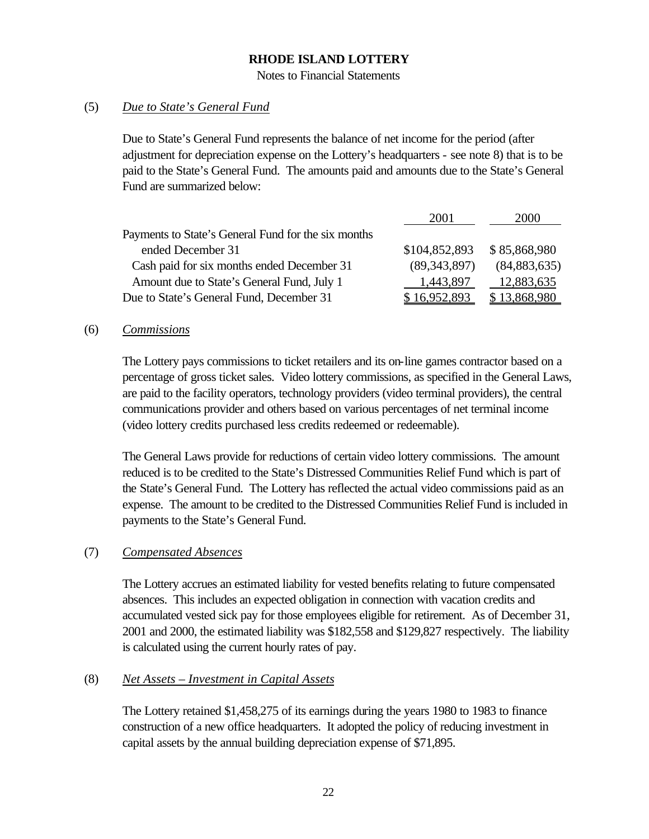Notes to Financial Statements

### (5) *Due to State's General Fund*

Due to State's General Fund represents the balance of net income for the period (after adjustment for depreciation expense on the Lottery's headquarters - see note 8) that is to be paid to the State's General Fund. The amounts paid and amounts due to the State's General Fund are summarized below:

|                                                     | 2001           | 2000           |
|-----------------------------------------------------|----------------|----------------|
| Payments to State's General Fund for the six months |                |                |
| ended December 31                                   | \$104,852,893  | \$85,868,980   |
| Cash paid for six months ended December 31          | (89, 343, 897) | (84, 883, 635) |
| Amount due to State's General Fund, July 1          | 1,443,897      | 12,883,635     |
| Due to State's General Fund, December 31            | \$16,952,893   | \$13,868,980   |

#### (6) *Commissions*

The Lottery pays commissions to ticket retailers and its on-line games contractor based on a percentage of gross ticket sales. Video lottery commissions, as specified in the General Laws, are paid to the facility operators, technology providers (video terminal providers), the central communications provider and others based on various percentages of net terminal income (video lottery credits purchased less credits redeemed or redeemable).

The General Laws provide for reductions of certain video lottery commissions. The amount reduced is to be credited to the State's Distressed Communities Relief Fund which is part of the State's General Fund. The Lottery has reflected the actual video commissions paid as an expense. The amount to be credited to the Distressed Communities Relief Fund is included in payments to the State's General Fund.

#### (7) *Compensated Absences*

The Lottery accrues an estimated liability for vested benefits relating to future compensated absences. This includes an expected obligation in connection with vacation credits and accumulated vested sick pay for those employees eligible for retirement. As of December 31, 2001 and 2000, the estimated liability was \$182,558 and \$129,827 respectively. The liability is calculated using the current hourly rates of pay.

#### (8) *Net Assets – Investment in Capital Assets*

The Lottery retained \$1,458,275 of its earnings during the years 1980 to 1983 to finance construction of a new office headquarters. It adopted the policy of reducing investment in capital assets by the annual building depreciation expense of \$71,895.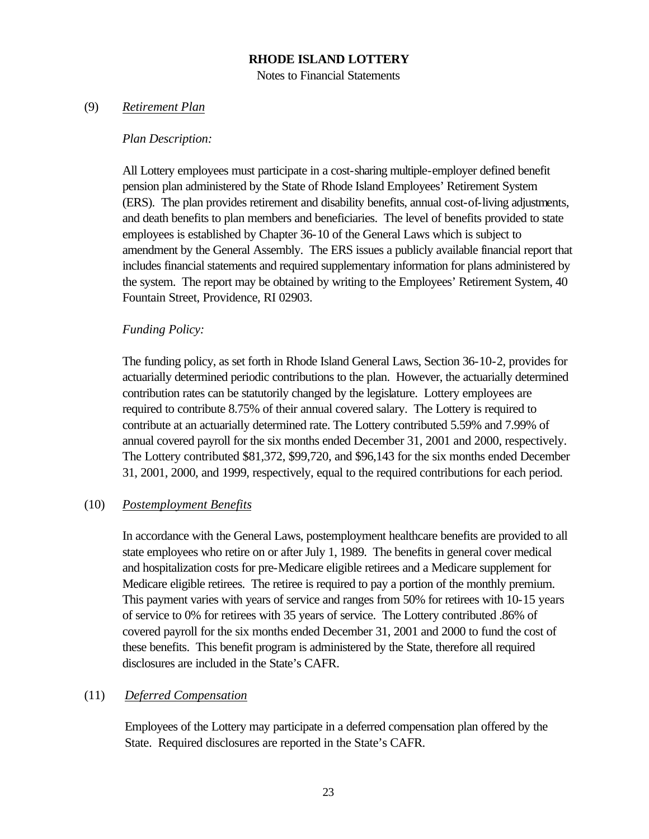Notes to Financial Statements

# (9) *Retirement Plan*

#### *Plan Description:*

All Lottery employees must participate in a cost-sharing multiple-employer defined benefit pension plan administered by the State of Rhode Island Employees' Retirement System (ERS). The plan provides retirement and disability benefits, annual cost-of-living adjustments, and death benefits to plan members and beneficiaries. The level of benefits provided to state employees is established by Chapter 36-10 of the General Laws which is subject to amendment by the General Assembly. The ERS issues a publicly available financial report that includes financial statements and required supplementary information for plans administered by the system. The report may be obtained by writing to the Employees' Retirement System, 40 Fountain Street, Providence, RI 02903.

# *Funding Policy:*

The funding policy, as set forth in Rhode Island General Laws, Section 36-10-2, provides for actuarially determined periodic contributions to the plan. However, the actuarially determined contribution rates can be statutorily changed by the legislature. Lottery employees are required to contribute 8.75% of their annual covered salary. The Lottery is required to contribute at an actuarially determined rate. The Lottery contributed 5.59% and 7.99% of annual covered payroll for the six months ended December 31, 2001 and 2000, respectively. The Lottery contributed \$81,372, \$99,720, and \$96,143 for the six months ended December 31, 2001, 2000, and 1999, respectively, equal to the required contributions for each period.

# (10) *Postemployment Benefits*

In accordance with the General Laws, postemployment healthcare benefits are provided to all state employees who retire on or after July 1, 1989. The benefits in general cover medical and hospitalization costs for pre-Medicare eligible retirees and a Medicare supplement for Medicare eligible retirees. The retiree is required to pay a portion of the monthly premium. This payment varies with years of service and ranges from 50% for retirees with 10-15 years of service to 0% for retirees with 35 years of service. The Lottery contributed .86% of covered payroll for the six months ended December 31, 2001 and 2000 to fund the cost of these benefits. This benefit program is administered by the State, therefore all required disclosures are included in the State's CAFR.

# (11) *Deferred Compensation*

Employees of the Lottery may participate in a deferred compensation plan offered by the State. Required disclosures are reported in the State's CAFR.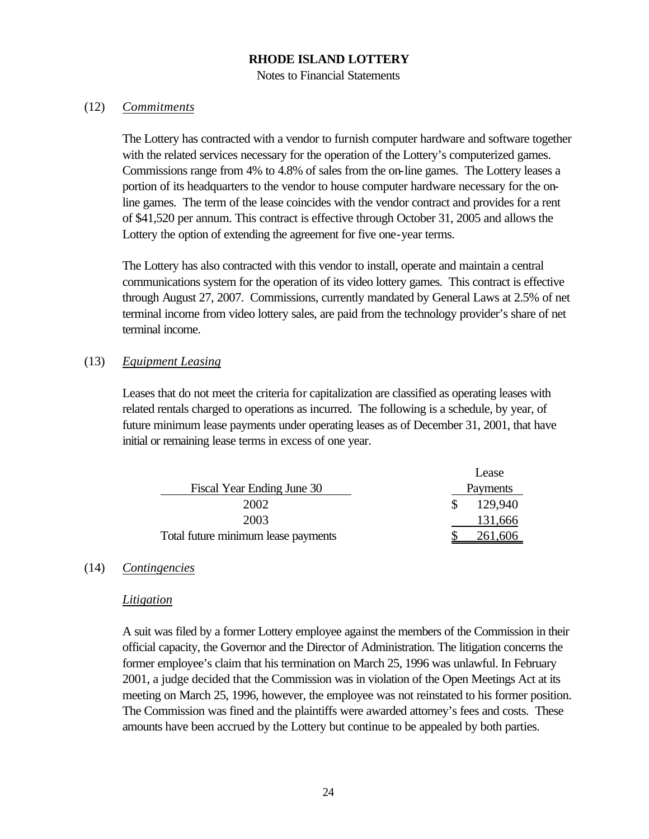Notes to Financial Statements

### (12) *Commitments*

The Lottery has contracted with a vendor to furnish computer hardware and software together with the related services necessary for the operation of the Lottery's computerized games. Commissions range from 4% to 4.8% of sales from the on-line games. The Lottery leases a portion of its headquarters to the vendor to house computer hardware necessary for the online games. The term of the lease coincides with the vendor contract and provides for a rent of \$41,520 per annum. This contract is effective through October 31, 2005 and allows the Lottery the option of extending the agreement for five one-year terms.

The Lottery has also contracted with this vendor to install, operate and maintain a central communications system for the operation of its video lottery games. This contract is effective through August 27, 2007. Commissions, currently mandated by General Laws at 2.5% of net terminal income from video lottery sales, are paid from the technology provider's share of net terminal income.

# (13) *Equipment Leasing*

Leases that do not meet the criteria for capitalization are classified as operating leases with related rentals charged to operations as incurred. The following is a schedule, by year, of future minimum lease payments under operating leases as of December 31, 2001, that have initial or remaining lease terms in excess of one year.

|                                     | Lease    |
|-------------------------------------|----------|
| Fiscal Year Ending June 30          | Payments |
| 2002                                | 129.940  |
| 2003                                | 131,666  |
| Total future minimum lease payments | 261,606  |

# (14) *Contingencies*

#### *Litigation*

A suit was filed by a former Lottery employee against the members of the Commission in their official capacity, the Governor and the Director of Administration. The litigation concerns the former employee's claim that his termination on March 25, 1996 was unlawful. In February 2001, a judge decided that the Commission was in violation of the Open Meetings Act at its meeting on March 25, 1996, however, the employee was not reinstated to his former position. The Commission was fined and the plaintiffs were awarded attorney's fees and costs. These amounts have been accrued by the Lottery but continue to be appealed by both parties.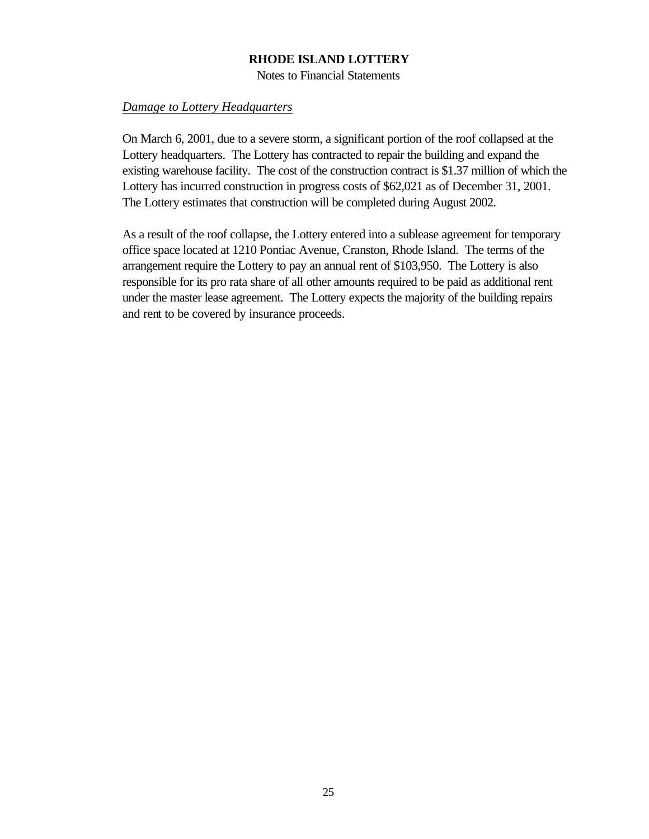Notes to Financial Statements

#### *Damage to Lottery Headquarters*

On March 6, 2001, due to a severe storm, a significant portion of the roof collapsed at the Lottery headquarters. The Lottery has contracted to repair the building and expand the existing warehouse facility. The cost of the construction contract is \$1.37 million of which the Lottery has incurred construction in progress costs of \$62,021 as of December 31, 2001. The Lottery estimates that construction will be completed during August 2002.

As a result of the roof collapse, the Lottery entered into a sublease agreement for temporary office space located at 1210 Pontiac Avenue, Cranston, Rhode Island. The terms of the arrangement require the Lottery to pay an annual rent of \$103,950. The Lottery is also responsible for its pro rata share of all other amounts required to be paid as additional rent under the master lease agreement. The Lottery expects the majority of the building repairs and rent to be covered by insurance proceeds.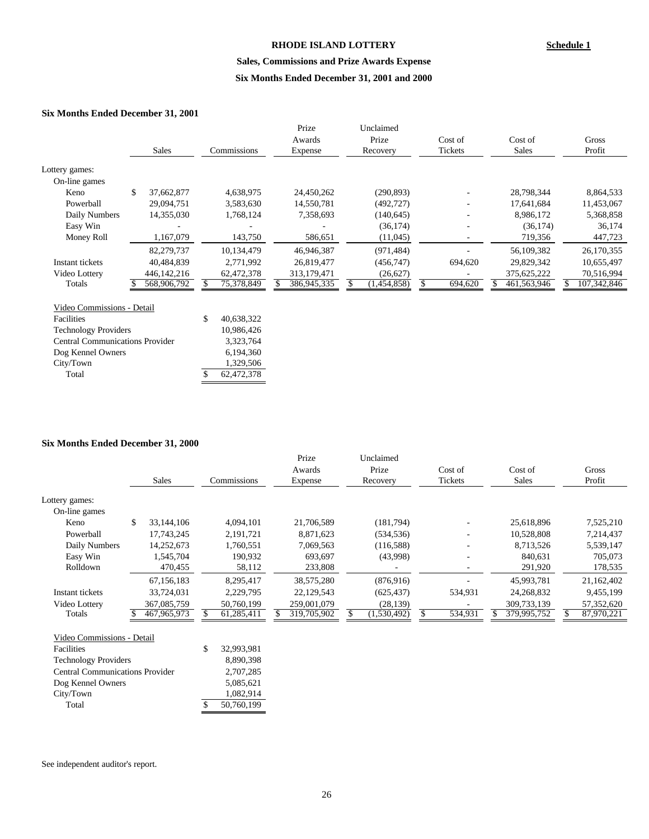#### **Sales, Commissions and Prize Awards Expense**

#### **Six Months Ended December 31, 2001 and 2000**

#### **Six Months Ended December 31, 2001**

|                                        |    |               |    |             |  | Prize       |  | Unclaimed   |  |         |  |             |  |             |
|----------------------------------------|----|---------------|----|-------------|--|-------------|--|-------------|--|---------|--|-------------|--|-------------|
|                                        |    |               |    |             |  | Awards      |  | Prize       |  | Cost of |  | Cost of     |  | Gross       |
|                                        |    | <b>Sales</b>  |    | Commissions |  | Expense     |  | Recovery    |  | Tickets |  | Sales       |  | Profit      |
| Lottery games:                         |    |               |    |             |  |             |  |             |  |         |  |             |  |             |
| On-line games                          |    |               |    |             |  |             |  |             |  |         |  |             |  |             |
| Keno                                   | \$ | 37,662,877    |    | 4,638,975   |  | 24,450,262  |  | (290, 893)  |  |         |  | 28,798,344  |  | 8,864,533   |
| Powerball                              |    | 29,094,751    |    | 3,583,630   |  | 14,550,781  |  | (492, 727)  |  |         |  | 17,641,684  |  | 11,453,067  |
| Daily Numbers                          |    | 14,355,030    |    | 1,768,124   |  | 7,358,693   |  | (140, 645)  |  |         |  | 8,986,172   |  | 5,368,858   |
| Easy Win                               |    |               |    |             |  |             |  | (36, 174)   |  | ۰       |  | (36, 174)   |  | 36,174      |
| Money Roll                             |    | 1,167,079     |    | 143,750     |  | 586,651     |  | (11,045)    |  | ۰       |  | 719,356     |  | 447,723     |
|                                        |    | 82,279,737    |    | 10,134,479  |  | 46,946,387  |  | (971, 484)  |  |         |  | 56,109,382  |  | 26,170,355  |
| Instant tickets                        |    | 40,484,839    |    | 2,771,992   |  | 26,819,477  |  | (456,747)   |  | 694,620 |  | 29,829,342  |  | 10,655,497  |
| Video Lottery                          |    | 446, 142, 216 |    | 62,472,378  |  | 313,179,471 |  | (26,627)    |  |         |  | 375,625,222 |  | 70,516,994  |
| Totals                                 |    | 568,906,792   |    | 75,378,849  |  | 386,945,335 |  | (1,454,858) |  | 694,620 |  | 461,563,946 |  | 107,342,846 |
| Video Commissions - Detail             |    |               |    |             |  |             |  |             |  |         |  |             |  |             |
| Facilities                             |    |               | \$ | 40,638,322  |  |             |  |             |  |         |  |             |  |             |
| <b>Technology Providers</b>            |    |               |    | 10,986,426  |  |             |  |             |  |         |  |             |  |             |
| <b>Central Communications Provider</b> |    |               |    | 3,323,764   |  |             |  |             |  |         |  |             |  |             |
| Dog Kennel Owners                      |    |               |    | 6,194,360   |  |             |  |             |  |         |  |             |  |             |

#### **Six Months Ended December 31, 2000**

City/Town 1,329,506 Total \$ 62,472,378

Total  $\overline{\$}$  50,760,199

|                                        |    |             |                    | Prize       |     | Unclaimed   |         |         |              |            |  |
|----------------------------------------|----|-------------|--------------------|-------------|-----|-------------|---------|---------|--------------|------------|--|
|                                        |    |             |                    | Awards      |     | Prize       |         | Cost of | Cost of      | Gross      |  |
|                                        |    | Sales       | <b>Commissions</b> | Expense     |     | Recovery    | Tickets |         | <b>Sales</b> | Profit     |  |
| Lottery games:                         |    |             |                    |             |     |             |         |         |              |            |  |
| On-line games                          |    |             |                    |             |     |             |         |         |              |            |  |
| Keno                                   | £. | 33,144,106  | 4,094,101          | 21,706,589  |     | (181,794)   |         |         | 25,618,896   | 7,525,210  |  |
| Powerball                              |    | 17,743,245  | 2,191,721          | 8,871,623   |     | (534, 536)  |         |         | 10,528,808   | 7,214,437  |  |
| Daily Numbers                          |    | 14,252,673  | 1,760,551          | 7,069,563   |     | (116,588)   |         |         | 8,713,526    | 5,539,147  |  |
| Easy Win                               |    | 1,545,704   | 190,932            | 693,697     |     | (43,998)    |         |         | 840,631      | 705,073    |  |
| Rolldown                               |    | 470,455     | 58,112             | 233,808     |     |             |         |         | 291,920      | 178,535    |  |
|                                        |    | 67,156,183  | 8,295,417          | 38,575,280  |     | (876, 916)  |         |         | 45,993,781   | 21,162,402 |  |
| Instant tickets                        |    | 33,724,031  | 2,229,795          | 22,129,543  |     | (625, 437)  |         | 534,931 | 24,268,832   | 9,455,199  |  |
| Video Lottery                          |    | 367,085,759 | 50,760,199         | 259,001,079 |     | (28, 139)   |         |         | 309,733,139  | 57,352,620 |  |
| Totals                                 |    | 467,965,973 | 61,285,411         | 319,705,902 | \$. | (1,530,492) |         | 534,931 | 379,995,752  | 87,970,221 |  |
| Video Commissions - Detail             |    |             |                    |             |     |             |         |         |              |            |  |
| Facilities                             |    |             | \$<br>32,993,981   |             |     |             |         |         |              |            |  |
| <b>Technology Providers</b>            |    |             | 8,890,398          |             |     |             |         |         |              |            |  |
| <b>Central Communications Provider</b> |    |             | 2,707,285          |             |     |             |         |         |              |            |  |
| Dog Kennel Owners                      |    |             | 5,085,621          |             |     |             |         |         |              |            |  |
| City/Town                              |    |             | 1,082,914          |             |     |             |         |         |              |            |  |

See independent auditor's report.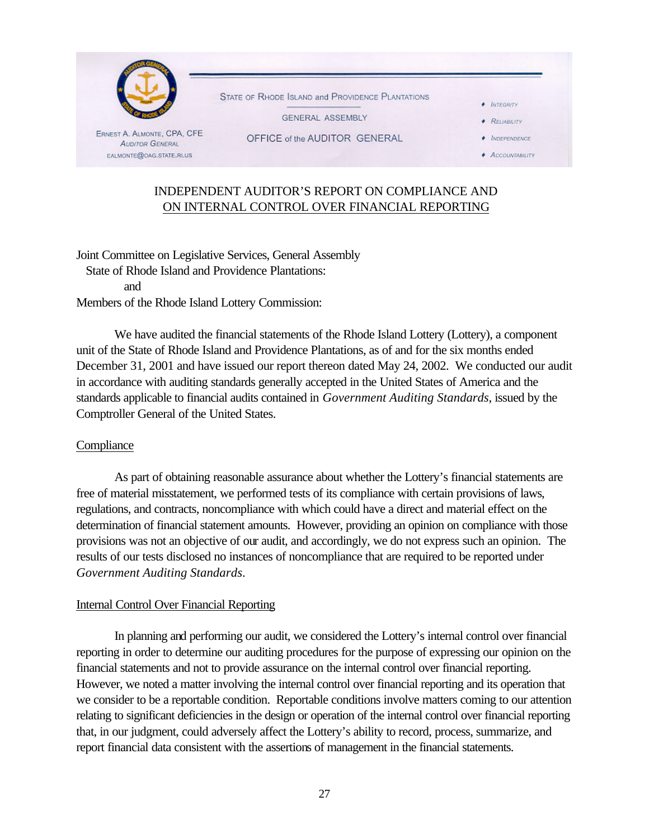

# INDEPENDENT AUDITOR'S REPORT ON COMPLIANCE AND ON INTERNAL CONTROL OVER FINANCIAL REPORTING

Joint Committee on Legislative Services, General Assembly State of Rhode Island and Providence Plantations: and Members of the Rhode Island Lottery Commission:

We have audited the financial statements of the Rhode Island Lottery (Lottery), a component unit of the State of Rhode Island and Providence Plantations, as of and for the six months ended December 31, 2001 and have issued our report thereon dated May 24, 2002. We conducted our audit in accordance with auditing standards generally accepted in the United States of America and the standards applicable to financial audits contained in *Government Auditing Standards*, issued by the Comptroller General of the United States.

# **Compliance**

As part of obtaining reasonable assurance about whether the Lottery's financial statements are free of material misstatement, we performed tests of its compliance with certain provisions of laws, regulations, and contracts, noncompliance with which could have a direct and material effect on the determination of financial statement amounts. However, providing an opinion on compliance with those provisions was not an objective of our audit, and accordingly, we do not express such an opinion. The results of our tests disclosed no instances of noncompliance that are required to be reported under *Government Auditing Standards*.

# Internal Control Over Financial Reporting

In planning and performing our audit, we considered the Lottery's internal control over financial reporting in order to determine our auditing procedures for the purpose of expressing our opinion on the financial statements and not to provide assurance on the internal control over financial reporting. However, we noted a matter involving the internal control over financial reporting and its operation that we consider to be a reportable condition. Reportable conditions involve matters coming to our attention relating to significant deficiencies in the design or operation of the internal control over financial reporting that, in our judgment, could adversely affect the Lottery's ability to record, process, summarize, and report financial data consistent with the assertions of management in the financial statements.